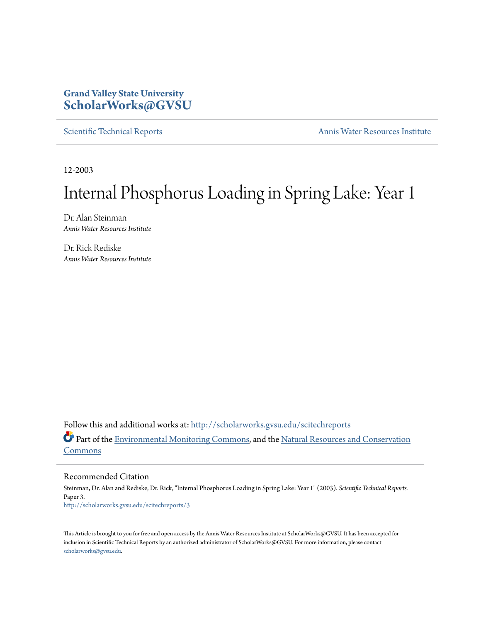## **Grand Valley State University [ScholarWorks@GVSU](http://scholarworks.gvsu.edu?utm_source=scholarworks.gvsu.edu%2Fscitechreports%2F3&utm_medium=PDF&utm_campaign=PDFCoverPages)**

[Scientific Technical Reports](http://scholarworks.gvsu.edu/scitechreports?utm_source=scholarworks.gvsu.edu%2Fscitechreports%2F3&utm_medium=PDF&utm_campaign=PDFCoverPages) **[Annis Water Resources Institute](http://scholarworks.gvsu.edu/awri?utm_source=scholarworks.gvsu.edu%2Fscitechreports%2F3&utm_medium=PDF&utm_campaign=PDFCoverPages)** 

12-2003

# Internal Phosphorus Loading in Spring Lake: Year 1

Dr. Alan Steinman *Annis Water Resources Institute*

Dr. Rick Rediske *Annis Water Resources Institute*

Follow this and additional works at: [http://scholarworks.gvsu.edu/scitechreports](http://scholarworks.gvsu.edu/scitechreports?utm_source=scholarworks.gvsu.edu%2Fscitechreports%2F3&utm_medium=PDF&utm_campaign=PDFCoverPages) Part of the [Environmental Monitoring Commons](http://network.bepress.com/hgg/discipline/931?utm_source=scholarworks.gvsu.edu%2Fscitechreports%2F3&utm_medium=PDF&utm_campaign=PDFCoverPages), and the [Natural Resources and Conservation](http://network.bepress.com/hgg/discipline/168?utm_source=scholarworks.gvsu.edu%2Fscitechreports%2F3&utm_medium=PDF&utm_campaign=PDFCoverPages) [Commons](http://network.bepress.com/hgg/discipline/168?utm_source=scholarworks.gvsu.edu%2Fscitechreports%2F3&utm_medium=PDF&utm_campaign=PDFCoverPages)

Recommended Citation

Steinman, Dr. Alan and Rediske, Dr. Rick, "Internal Phosphorus Loading in Spring Lake: Year 1" (2003). *Scientific Technical Reports.* Paper 3. [http://scholarworks.gvsu.edu/scitechreports/3](http://scholarworks.gvsu.edu/scitechreports/3?utm_source=scholarworks.gvsu.edu%2Fscitechreports%2F3&utm_medium=PDF&utm_campaign=PDFCoverPages)

This Article is brought to you for free and open access by the Annis Water Resources Institute at ScholarWorks@GVSU. It has been accepted for inclusion in Scientific Technical Reports by an authorized administrator of ScholarWorks@GVSU. For more information, please contact [scholarworks@gvsu.edu](mailto:scholarworks@gvsu.edu).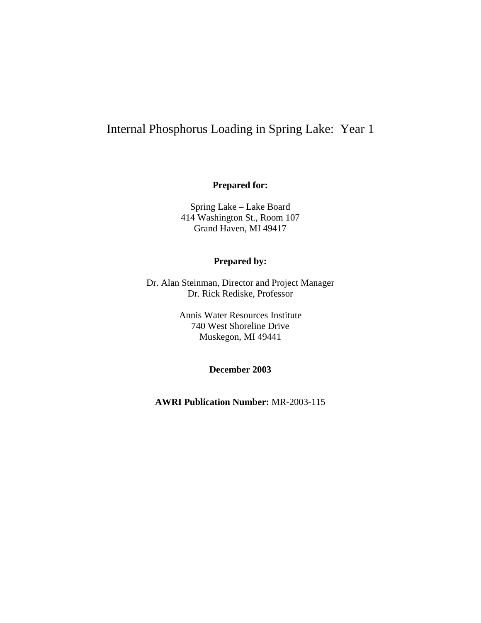# Internal Phosphorus Loading in Spring Lake: Year 1

#### **Prepared for:**

Spring Lake – Lake Board 414 Washington St., Room 107 Grand Haven, MI 49417

#### **Prepared by:**

Dr. Alan Steinman, Director and Project Manager Dr. Rick Rediske, Professor

> Annis Water Resources Institute 740 West Shoreline Drive Muskegon, MI 49441

> > **December 2003**

**AWRI Publication Number:** MR-2003-115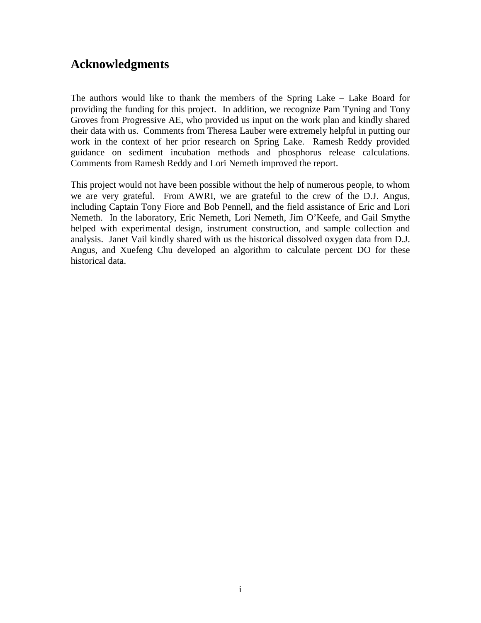# **Acknowledgments**

The authors would like to thank the members of the Spring Lake – Lake Board for providing the funding for this project. In addition, we recognize Pam Tyning and Tony Groves from Progressive AE, who provided us input on the work plan and kindly shared their data with us. Comments from Theresa Lauber were extremely helpful in putting our work in the context of her prior research on Spring Lake. Ramesh Reddy provided guidance on sediment incubation methods and phosphorus release calculations. Comments from Ramesh Reddy and Lori Nemeth improved the report.

This project would not have been possible without the help of numerous people, to whom we are very grateful. From AWRI, we are grateful to the crew of the D.J. Angus, including Captain Tony Fiore and Bob Pennell, and the field assistance of Eric and Lori Nemeth. In the laboratory, Eric Nemeth, Lori Nemeth, Jim O'Keefe, and Gail Smythe helped with experimental design, instrument construction, and sample collection and analysis. Janet Vail kindly shared with us the historical dissolved oxygen data from D.J. Angus, and Xuefeng Chu developed an algorithm to calculate percent DO for these historical data.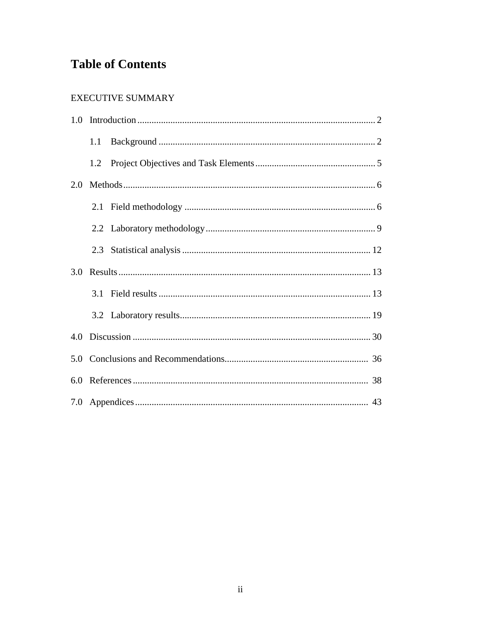# **Table of Contents**

#### EXECUTIVE SUMMARY

|     | 1.1 |  |
|-----|-----|--|
|     |     |  |
| 2.0 |     |  |
|     |     |  |
|     |     |  |
|     |     |  |
| 3.0 |     |  |
|     |     |  |
|     |     |  |
|     |     |  |
| 4.0 |     |  |
|     |     |  |
|     |     |  |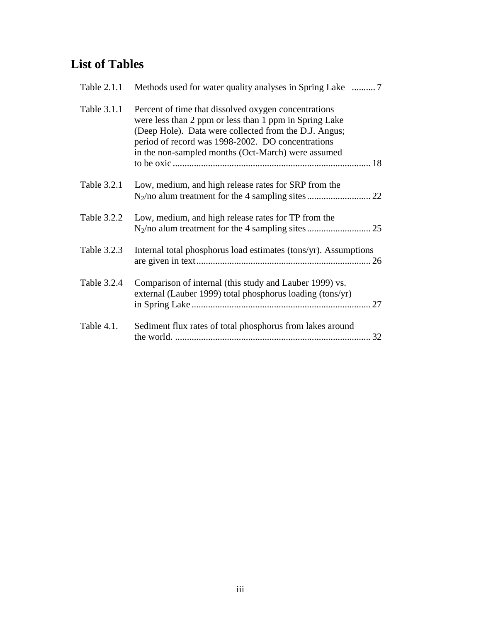# **List of Tables**

| Table 2.1.1 | Methods used for water quality analyses in Spring Lake  7                                                                                                                                                                                                                          |
|-------------|------------------------------------------------------------------------------------------------------------------------------------------------------------------------------------------------------------------------------------------------------------------------------------|
| Table 3.1.1 | Percent of time that dissolved oxygen concentrations<br>were less than 2 ppm or less than 1 ppm in Spring Lake<br>(Deep Hole). Data were collected from the D.J. Angus;<br>period of record was 1998-2002. DO concentrations<br>in the non-sampled months (Oct-March) were assumed |
| Table 3.2.1 | Low, medium, and high release rates for SRP from the                                                                                                                                                                                                                               |
| Table 3.2.2 | Low, medium, and high release rates for TP from the                                                                                                                                                                                                                                |
| Table 3.2.3 | Internal total phosphorus load estimates (tons/yr). Assumptions                                                                                                                                                                                                                    |
| Table 3.2.4 | Comparison of internal (this study and Lauber 1999) vs.<br>external (Lauber 1999) total phosphorus loading (tons/yr)<br>27                                                                                                                                                         |
| Table 4.1.  | Sediment flux rates of total phosphorus from lakes around<br>32                                                                                                                                                                                                                    |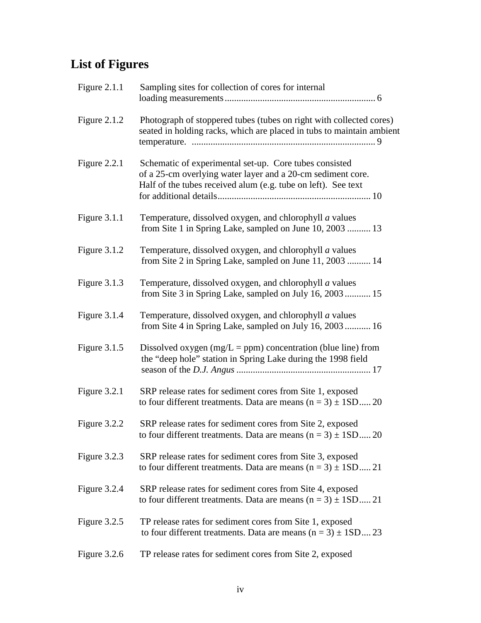# **List of Figures**

| Figure $2.1.1$ | Sampling sites for collection of cores for internal                                                                                                                                    |
|----------------|----------------------------------------------------------------------------------------------------------------------------------------------------------------------------------------|
| Figure $2.1.2$ | Photograph of stoppered tubes (tubes on right with collected cores)<br>seated in holding racks, which are placed in tubs to maintain ambient                                           |
| Figure $2.2.1$ | Schematic of experimental set-up. Core tubes consisted<br>of a 25-cm overlying water layer and a 20-cm sediment core.<br>Half of the tubes received alum (e.g. tube on left). See text |
| Figure $3.1.1$ | Temperature, dissolved oxygen, and chlorophyll <i>a</i> values<br>from Site 1 in Spring Lake, sampled on June 10, 2003  13                                                             |
| Figure 3.1.2   | Temperature, dissolved oxygen, and chlorophyll <i>a</i> values<br>from Site 2 in Spring Lake, sampled on June 11, 2003  14                                                             |
| Figure 3.1.3   | Temperature, dissolved oxygen, and chlorophyll <i>a</i> values<br>from Site 3 in Spring Lake, sampled on July 16, 2003 15                                                              |
| Figure 3.1.4   | Temperature, dissolved oxygen, and chlorophyll <i>a</i> values<br>from Site 4 in Spring Lake, sampled on July 16, 2003 16                                                              |
| Figure $3.1.5$ | Dissolved oxygen ( $mg/L = ppm$ ) concentration (blue line) from<br>the "deep hole" station in Spring Lake during the 1998 field                                                       |
| Figure 3.2.1   | SRP release rates for sediment cores from Site 1, exposed<br>to four different treatments. Data are means $(n = 3) \pm 1SD$ 20                                                         |
| Figure 3.2.2   | SRP release rates for sediment cores from Site 2, exposed<br>to four different treatments. Data are means $(n = 3) \pm 1SD$ 20                                                         |
| Figure 3.2.3   | SRP release rates for sediment cores from Site 3, exposed<br>to four different treatments. Data are means $(n = 3) \pm 1SD$ 21                                                         |
| Figure 3.2.4   | SRP release rates for sediment cores from Site 4, exposed<br>to four different treatments. Data are means $(n = 3) \pm 1SD$ 21                                                         |
| Figure 3.2.5   | TP release rates for sediment cores from Site 1, exposed<br>to four different treatments. Data are means $(n = 3) \pm 1SD$ 23                                                          |
| Figure 3.2.6   | TP release rates for sediment cores from Site 2, exposed                                                                                                                               |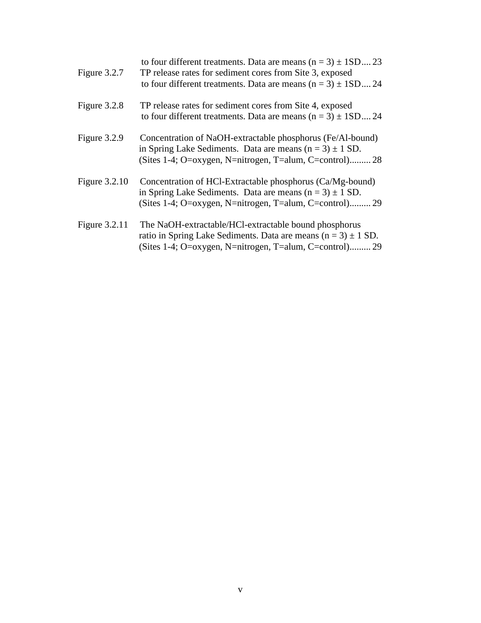| Figure 3.2.7    | to four different treatments. Data are means $(n = 3) \pm 1SD$ 23<br>TP release rates for sediment cores from Site 3, exposed<br>to four different treatments. Data are means $(n = 3) \pm 1SD$ 24 |
|-----------------|----------------------------------------------------------------------------------------------------------------------------------------------------------------------------------------------------|
| Figure 3.2.8    | TP release rates for sediment cores from Site 4, exposed<br>to four different treatments. Data are means $(n = 3) \pm 1SD$ 24                                                                      |
| Figure 3.2.9    | Concentration of NaOH-extractable phosphorus (Fe/Al-bound)<br>in Spring Lake Sediments. Data are means $(n = 3) \pm 1$ SD.<br>(Sites 1-4; O=oxygen, N=nitrogen, T=alum, C=control) 28              |
| Figure $3.2.10$ | Concentration of HCl-Extractable phosphorus (Ca/Mg-bound)<br>in Spring Lake Sediments. Data are means $(n = 3) \pm 1$ SD.<br>(Sites 1-4; O=oxygen, N=nitrogen, T=alum, C=control) 29               |
| Figure 3.2.11   | The NaOH-extractable/HCl-extractable bound phosphorus<br>ratio in Spring Lake Sediments. Data are means $(n = 3) \pm 1$ SD.<br>(Sites 1-4; O=oxygen, N=nitrogen, T=alum, C=control) 29             |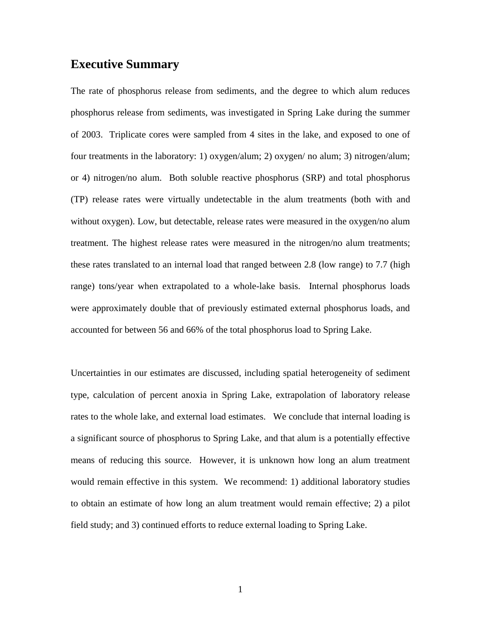### **Executive Summary**

The rate of phosphorus release from sediments, and the degree to which alum reduces phosphorus release from sediments, was investigated in Spring Lake during the summer of 2003. Triplicate cores were sampled from 4 sites in the lake, and exposed to one of four treatments in the laboratory: 1) oxygen/alum; 2) oxygen/ no alum; 3) nitrogen/alum; or 4) nitrogen/no alum. Both soluble reactive phosphorus (SRP) and total phosphorus (TP) release rates were virtually undetectable in the alum treatments (both with and without oxygen). Low, but detectable, release rates were measured in the oxygen/no alum treatment. The highest release rates were measured in the nitrogen/no alum treatments; these rates translated to an internal load that ranged between 2.8 (low range) to 7.7 (high range) tons/year when extrapolated to a whole-lake basis. Internal phosphorus loads were approximately double that of previously estimated external phosphorus loads, and accounted for between 56 and 66% of the total phosphorus load to Spring Lake.

Uncertainties in our estimates are discussed, including spatial heterogeneity of sediment type, calculation of percent anoxia in Spring Lake, extrapolation of laboratory release rates to the whole lake, and external load estimates. We conclude that internal loading is a significant source of phosphorus to Spring Lake, and that alum is a potentially effective means of reducing this source. However, it is unknown how long an alum treatment would remain effective in this system. We recommend: 1) additional laboratory studies to obtain an estimate of how long an alum treatment would remain effective; 2) a pilot field study; and 3) continued efforts to reduce external loading to Spring Lake.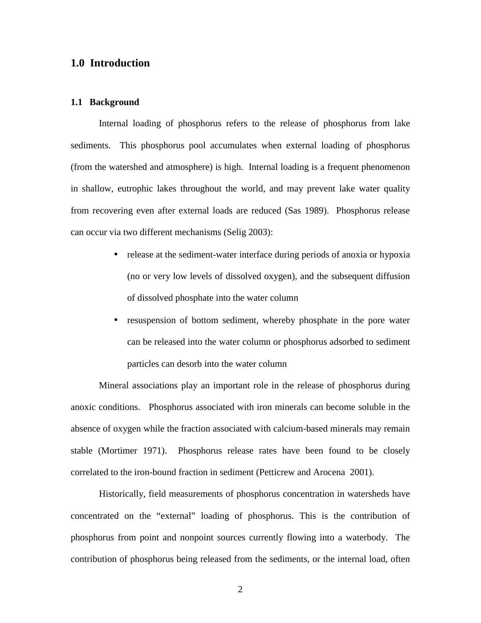#### **1.0 Introduction**

#### **1.1 Background**

Internal loading of phosphorus refers to the release of phosphorus from lake sediments. This phosphorus pool accumulates when external loading of phosphorus (from the watershed and atmosphere) is high. Internal loading is a frequent phenomenon in shallow, eutrophic lakes throughout the world, and may prevent lake water quality from recovering even after external loads are reduced (Sas 1989). Phosphorus release can occur via two different mechanisms (Selig 2003):

- release at the sediment-water interface during periods of anoxia or hypoxia (no or very low levels of dissolved oxygen), and the subsequent diffusion of dissolved phosphate into the water column
- resuspension of bottom sediment, whereby phosphate in the pore water can be released into the water column or phosphorus adsorbed to sediment particles can desorb into the water column

Mineral associations play an important role in the release of phosphorus during anoxic conditions. Phosphorus associated with iron minerals can become soluble in the absence of oxygen while the fraction associated with calcium-based minerals may remain stable (Mortimer 1971). Phosphorus release rates have been found to be closely correlated to the iron-bound fraction in sediment (Petticrew and Arocena 2001).

Historically, field measurements of phosphorus concentration in watersheds have concentrated on the "external" loading of phosphorus. This is the contribution of phosphorus from point and nonpoint sources currently flowing into a waterbody. The contribution of phosphorus being released from the sediments, or the internal load, often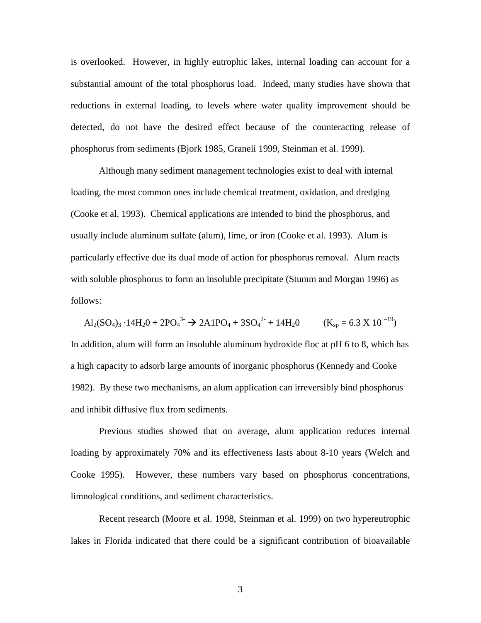is overlooked. However, in highly eutrophic lakes, internal loading can account for a substantial amount of the total phosphorus load. Indeed, many studies have shown that reductions in external loading, to levels where water quality improvement should be detected, do not have the desired effect because of the counteracting release of phosphorus from sediments (Bjork 1985, Graneli 1999, Steinman et al. 1999).

Although many sediment management technologies exist to deal with internal loading, the most common ones include chemical treatment, oxidation, and dredging (Cooke et al. 1993). Chemical applications are intended to bind the phosphorus, and usually include aluminum sulfate (alum), lime, or iron (Cooke et al. 1993). Alum is particularly effective due its dual mode of action for phosphorus removal. Alum reacts with soluble phosphorus to form an insoluble precipitate (Stumm and Morgan 1996) as follows:

 $\text{Al}_2(\text{SO}_4)_3 \cdot 14\text{H}_2\text{O} + 2\text{PO}_4^{3} \rightarrow 2\text{AlPO}_4 + 3\text{SO}_4^{2} + 14\text{H}_2\text{O}$   $(\text{K}_{\text{sp}} = 6.3 \text{ X } 10^{-19})$ In addition, alum will form an insoluble aluminum hydroxide floc at pH 6 to 8, which has a high capacity to adsorb large amounts of inorganic phosphorus (Kennedy and Cooke 1982). By these two mechanisms, an alum application can irreversibly bind phosphorus and inhibit diffusive flux from sediments.

Previous studies showed that on average, alum application reduces internal loading by approximately 70% and its effectiveness lasts about 8-10 years (Welch and Cooke 1995). However, these numbers vary based on phosphorus concentrations, limnological conditions, and sediment characteristics.

Recent research (Moore et al. 1998, Steinman et al. 1999) on two hypereutrophic lakes in Florida indicated that there could be a significant contribution of bioavailable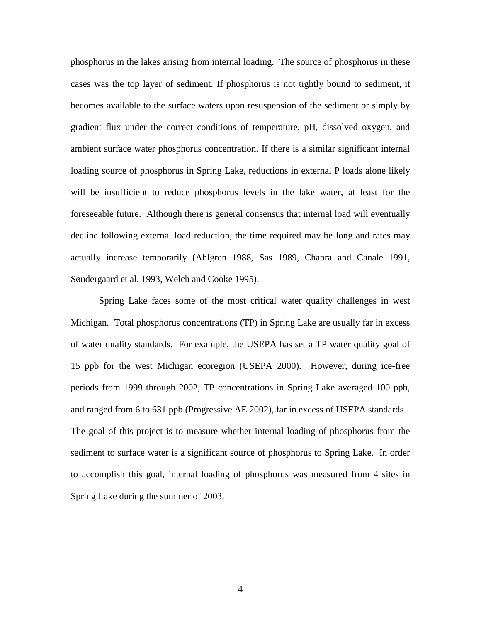phosphorus in the lakes arising from internal loading. The source of phosphorus in these cases was the top layer of sediment. If phosphorus is not tightly bound to sediment, it becomes available to the surface waters upon resuspension of the sediment or simply by gradient flux under the correct conditions of temperature, pH, dissolved oxygen, and ambient surface water phosphorus concentration. If there is a similar significant internal loading source of phosphorus in Spring Lake, reductions in external P loads alone likely will be insufficient to reduce phosphorus levels in the lake water, at least for the foreseeable future. Although there is general consensus that internal load will eventually decline following external load reduction, the time required may be long and rates may actually increase temporarily (Ahlgren 1988, Sas 1989, Chapra and Canale 1991, Søndergaard et al. 1993, Welch and Cooke 1995).

Spring Lake faces some of the most critical water quality challenges in west Michigan. Total phosphorus concentrations (TP) in Spring Lake are usually far in excess of water quality standards. For example, the USEPA has set a TP water quality goal of 15 ppb for the west Michigan ecoregion (USEPA 2000).However, during ice-free periods from 1999 through 2002, TP concentrations in Spring Lake averaged 100 ppb, and ranged from 6 to 631 ppb (Progressive AE 2002), far in excess of USEPA standards. The goal of this project is to measure whether internal loading of phosphorus from the sediment to surface water is a significant source of phosphorus to Spring Lake. In order to accomplish this goal, internal loading of phosphorus was measured from 4 sites in Spring Lake during the summer of 2003.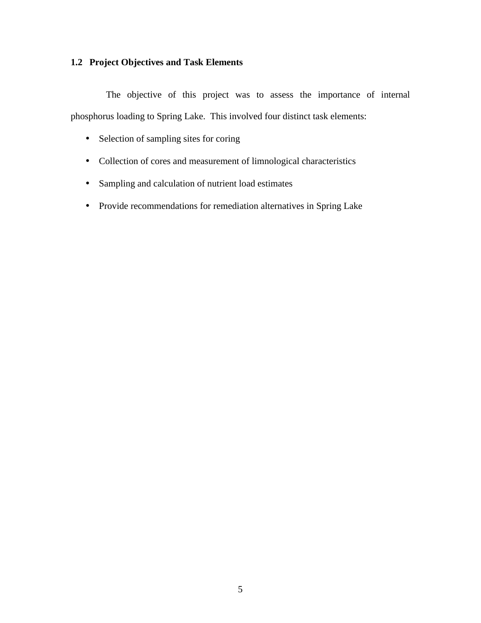### **1.2 Project Objectives and Task Elements**

 The objective of this project was to assess the importance of internal phosphorus loading to Spring Lake. This involved four distinct task elements:

- Selection of sampling sites for coring
- Collection of cores and measurement of limnological characteristics
- Sampling and calculation of nutrient load estimates
- Provide recommendations for remediation alternatives in Spring Lake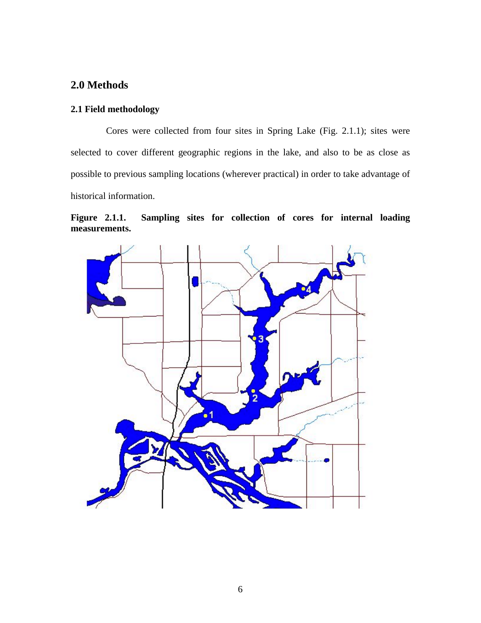### **2.0 Methods**

#### **2.1 Field methodology**

Cores were collected from four sites in Spring Lake (Fig. 2.1.1); sites were selected to cover different geographic regions in the lake, and also to be as close as possible to previous sampling locations (wherever practical) in order to take advantage of historical information.



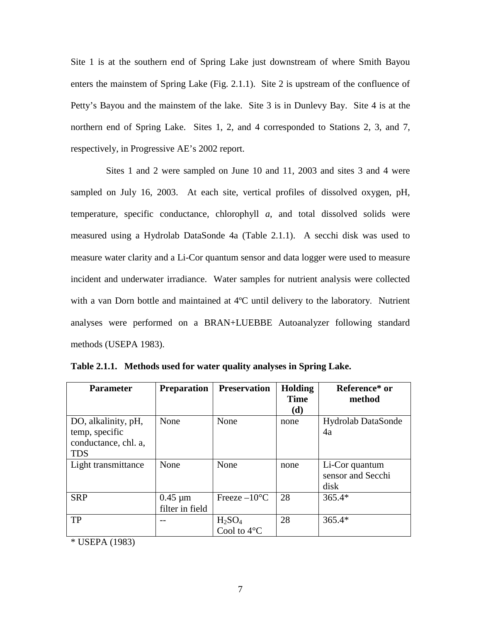Site 1 is at the southern end of Spring Lake just downstream of where Smith Bayou enters the mainstem of Spring Lake (Fig. 2.1.1). Site 2 is upstream of the confluence of Petty's Bayou and the mainstem of the lake. Site 3 is in Dunlevy Bay. Site 4 is at the northern end of Spring Lake. Sites 1, 2, and 4 corresponded to Stations 2, 3, and 7, respectively, in Progressive AE's 2002 report.

 Sites 1 and 2 were sampled on June 10 and 11, 2003 and sites 3 and 4 were sampled on July 16, 2003. At each site, vertical profiles of dissolved oxygen, pH, temperature, specific conductance, chlorophyll *a*, and total dissolved solids were measured using a Hydrolab DataSonde 4a (Table 2.1.1). A secchi disk was used to measure water clarity and a Li-Cor quantum sensor and data logger were used to measure incident and underwater irradiance. Water samples for nutrient analysis were collected with a van Dorn bottle and maintained at 4°C until delivery to the laboratory. Nutrient analyses were performed on a BRAN+LUEBBE Autoanalyzer following standard methods (USEPA 1983).

| <b>Parameter</b>     | <b>Preparation</b> | <b>Preservation</b>            | <b>Holding</b> | Reference* or      |
|----------------------|--------------------|--------------------------------|----------------|--------------------|
|                      |                    |                                | <b>Time</b>    | method             |
|                      |                    |                                | (d)            |                    |
| DO, alkalinity, pH,  | None               | None                           | none           | Hydrolab DataSonde |
| temp, specific       |                    |                                |                | 4a                 |
| conductance, chl. a, |                    |                                |                |                    |
| <b>TDS</b>           |                    |                                |                |                    |
| Light transmittance  | None               | None                           | none           | Li-Cor quantum     |
|                      |                    |                                |                | sensor and Secchi  |
|                      |                    |                                |                | disk               |
| <b>SRP</b>           | $0.45 \mu m$       | Freeze $-10$ <sup>o</sup> C    | 28             | $365.4*$           |
|                      | filter in field    |                                |                |                    |
| TP                   |                    | H <sub>2</sub> SO <sub>4</sub> | 28             | $365.4*$           |
|                      |                    | Cool to $4^{\circ}$ C          |                |                    |

**Table 2.1.1. Methods used for water quality analyses in Spring Lake.** 

\* USEPA (1983)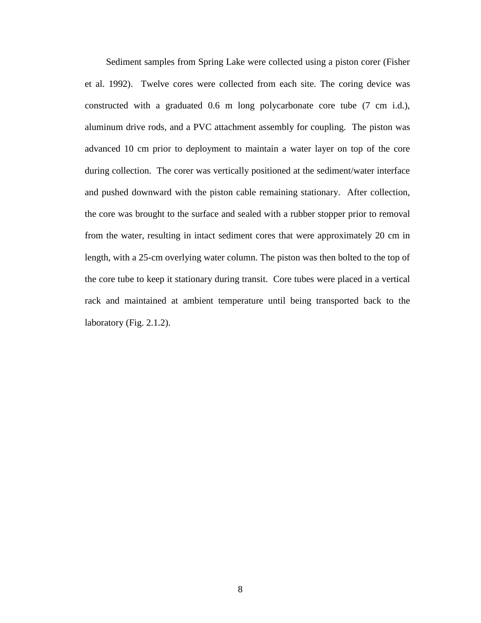Sediment samples from Spring Lake were collected using a piston corer (Fisher et al. 1992). Twelve cores were collected from each site. The coring device was constructed with a graduated 0.6 m long polycarbonate core tube (7 cm i.d.), aluminum drive rods, and a PVC attachment assembly for coupling. The piston was advanced 10 cm prior to deployment to maintain a water layer on top of the core during collection. The corer was vertically positioned at the sediment/water interface and pushed downward with the piston cable remaining stationary. After collection, the core was brought to the surface and sealed with a rubber stopper prior to removal from the water, resulting in intact sediment cores that were approximately 20 cm in length, with a 25-cm overlying water column. The piston was then bolted to the top of the core tube to keep it stationary during transit. Core tubes were placed in a vertical rack and maintained at ambient temperature until being transported back to the laboratory (Fig. 2.1.2).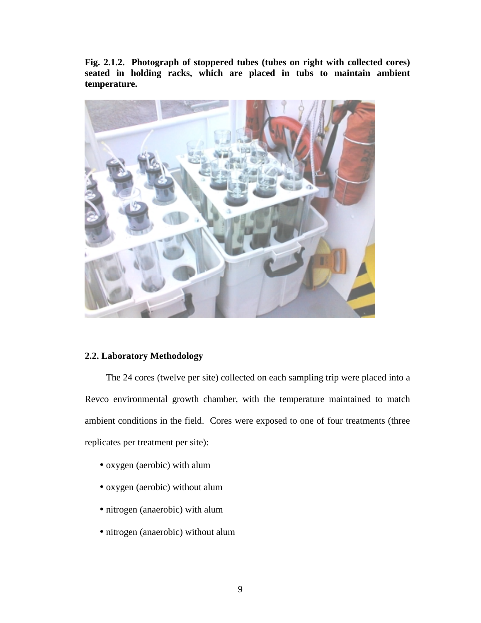**Fig. 2.1.2. Photograph of stoppered tubes (tubes on right with collected cores) seated in holding racks, which are placed in tubs to maintain ambient temperature.** 



#### **2.2. Laboratory Methodology**

 The 24 cores (twelve per site) collected on each sampling trip were placed into a Revco environmental growth chamber, with the temperature maintained to match ambient conditions in the field. Cores were exposed to one of four treatments (three replicates per treatment per site):

- oxygen (aerobic) with alum
- oxygen (aerobic) without alum
- nitrogen (anaerobic) with alum
- nitrogen (anaerobic) without alum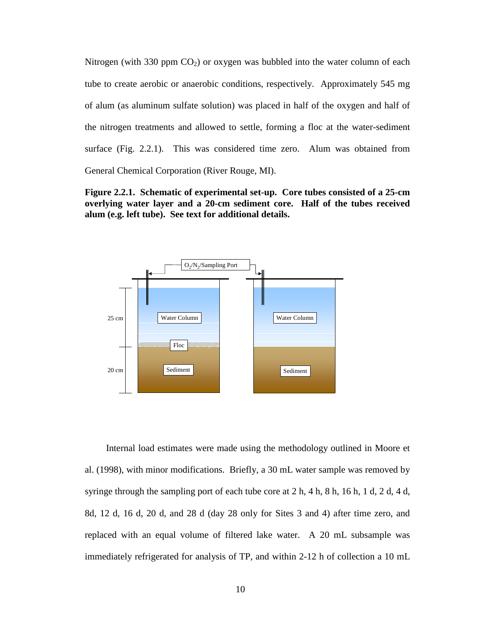Nitrogen (with 330 ppm  $CO<sub>2</sub>$ ) or oxygen was bubbled into the water column of each tube to create aerobic or anaerobic conditions, respectively. Approximately 545 mg of alum (as aluminum sulfate solution) was placed in half of the oxygen and half of the nitrogen treatments and allowed to settle, forming a floc at the water-sediment surface (Fig. 2.2.1). This was considered time zero. Alum was obtained from General Chemical Corporation (River Rouge, MI).

**Figure 2.2.1. Schematic of experimental set-up. Core tubes consisted of a 25-cm overlying water layer and a 20-cm sediment core. Half of the tubes received alum (e.g. left tube). See text for additional details.** 



 Internal load estimates were made using the methodology outlined in Moore et al. (1998), with minor modifications. Briefly, a 30 mL water sample was removed by syringe through the sampling port of each tube core at 2 h, 4 h, 8 h, 16 h, 1 d, 2 d, 4 d, 8d, 12 d, 16 d, 20 d, and 28 d (day 28 only for Sites 3 and 4) after time zero, and replaced with an equal volume of filtered lake water. A 20 mL subsample was immediately refrigerated for analysis of TP, and within 2-12 h of collection a 10 mL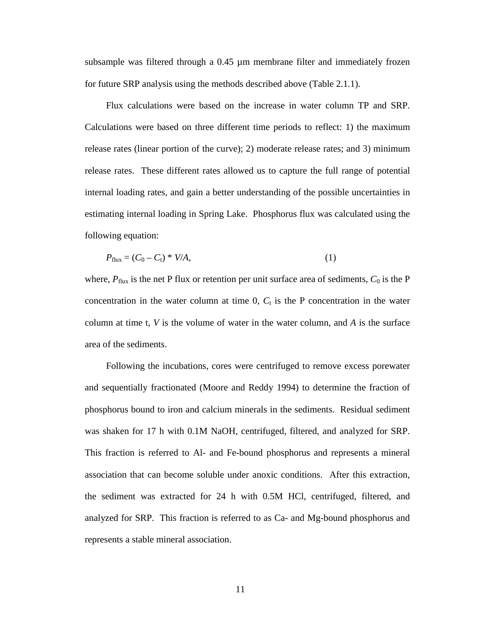subsample was filtered through a 0.45 µm membrane filter and immediately frozen for future SRP analysis using the methods described above (Table 2.1.1).

 Flux calculations were based on the increase in water column TP and SRP. Calculations were based on three different time periods to reflect: 1) the maximum release rates (linear portion of the curve); 2) moderate release rates; and 3) minimum release rates. These different rates allowed us to capture the full range of potential internal loading rates, and gain a better understanding of the possible uncertainties in estimating internal loading in Spring Lake. Phosphorus flux was calculated using the following equation:

$$
P_{\text{flux}} = (C_0 - C_t) * V/A,\tag{1}
$$

where,  $P_{\text{flux}}$  is the net P flux or retention per unit surface area of sediments,  $C_0$  is the P concentration in the water column at time  $0$ ,  $C_t$  is the P concentration in the water column at time t,  $V$  is the volume of water in the water column, and  $A$  is the surface area of the sediments.

 Following the incubations, cores were centrifuged to remove excess porewater and sequentially fractionated (Moore and Reddy 1994) to determine the fraction of phosphorus bound to iron and calcium minerals in the sediments. Residual sediment was shaken for 17 h with 0.1M NaOH, centrifuged, filtered, and analyzed for SRP. This fraction is referred to Al- and Fe-bound phosphorus and represents a mineral association that can become soluble under anoxic conditions. After this extraction, the sediment was extracted for 24 h with 0.5M HCl, centrifuged, filtered, and analyzed for SRP. This fraction is referred to as Ca- and Mg-bound phosphorus and represents a stable mineral association.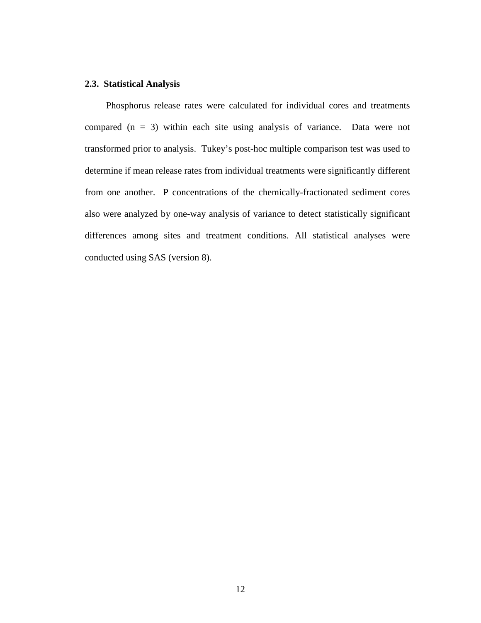#### **2.3. Statistical Analysis**

 Phosphorus release rates were calculated for individual cores and treatments compared  $(n = 3)$  within each site using analysis of variance. Data were not transformed prior to analysis. Tukey's post-hoc multiple comparison test was used to determine if mean release rates from individual treatments were significantly different from one another. P concentrations of the chemically-fractionated sediment cores also were analyzed by one-way analysis of variance to detect statistically significant differences among sites and treatment conditions. All statistical analyses were conducted using SAS (version 8).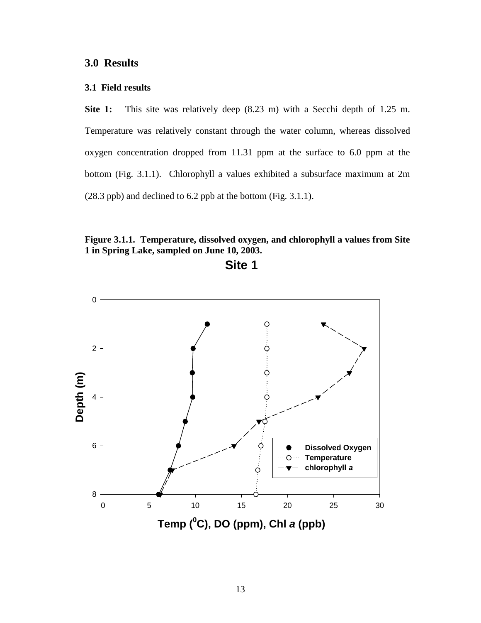#### **3.1 Field results**

**Site 1:** This site was relatively deep (8.23 m) with a Secchi depth of 1.25 m. Temperature was relatively constant through the water column, whereas dissolved oxygen concentration dropped from 11.31 ppm at the surface to 6.0 ppm at the bottom (Fig. 3.1.1). Chlorophyll a values exhibited a subsurface maximum at 2m (28.3 ppb) and declined to 6.2 ppb at the bottom (Fig. 3.1.1).

**Figure 3.1.1. Temperature, dissolved oxygen, and chlorophyll a values from Site 1 in Spring Lake, sampled on June 10, 2003.** 

**Site 1**

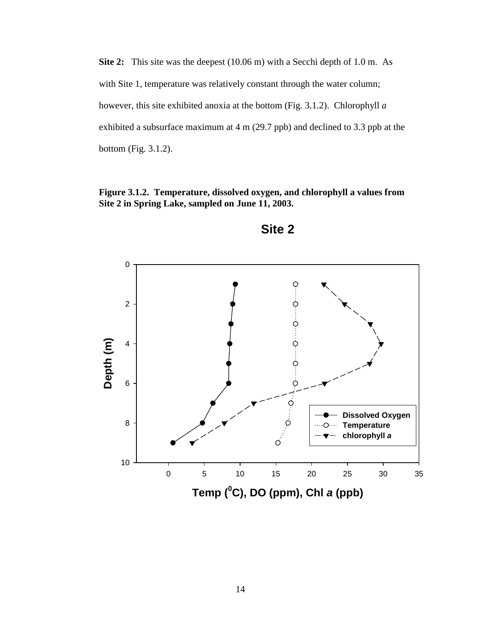**Site 2:** This site was the deepest (10.06 m) with a Secchi depth of 1.0 m. As with Site 1, temperature was relatively constant through the water column; however, this site exhibited anoxia at the bottom (Fig. 3.1.2). Chlorophyll *a* exhibited a subsurface maximum at 4 m (29.7 ppb) and declined to 3.3 ppb at the bottom (Fig. 3.1.2).

**Figure 3.1.2. Temperature, dissolved oxygen, and chlorophyll a values from Site 2 in Spring Lake, sampled on June 11, 2003.** 



**Site 2**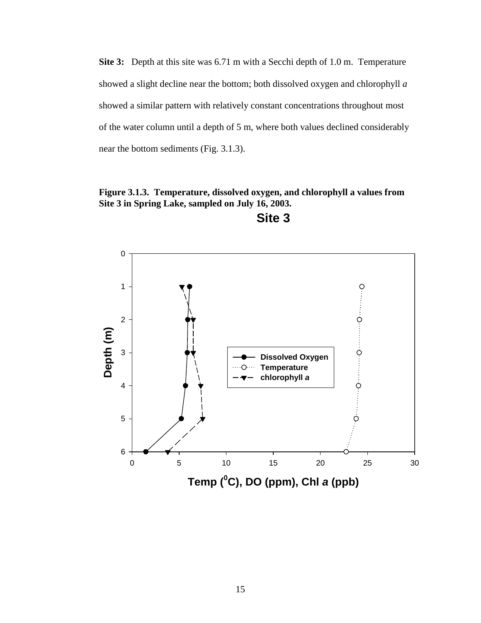**Site 3:** Depth at this site was 6.71 m with a Secchi depth of 1.0 m. Temperature showed a slight decline near the bottom; both dissolved oxygen and chlorophyll *a* showed a similar pattern with relatively constant concentrations throughout most of the water column until a depth of 5 m, where both values declined considerably near the bottom sediments (Fig. 3.1.3).

**Figure 3.1.3. Temperature, dissolved oxygen, and chlorophyll a values from Site 3 in Spring Lake, sampled on July 16, 2003.** 



**Site 3**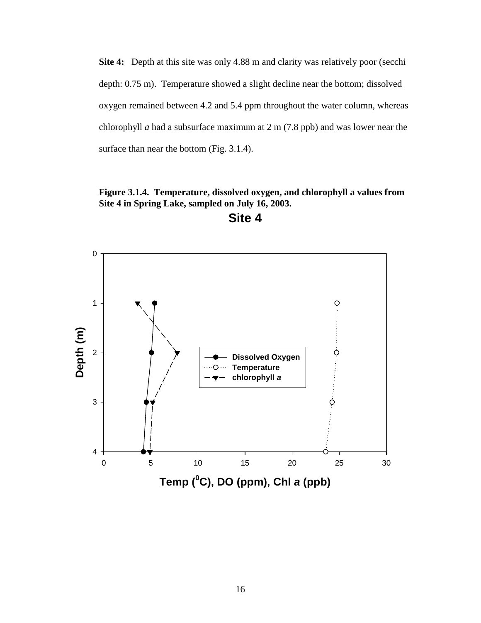**Site 4:** Depth at this site was only 4.88 m and clarity was relatively poor (secchi depth: 0.75 m). Temperature showed a slight decline near the bottom; dissolved oxygen remained between 4.2 and 5.4 ppm throughout the water column, whereas chlorophyll *a* had a subsurface maximum at 2 m (7.8 ppb) and was lower near the surface than near the bottom (Fig. 3.1.4).

**Figure 3.1.4. Temperature, dissolved oxygen, and chlorophyll a values from Site 4 in Spring Lake, sampled on July 16, 2003.** 



**Site 4**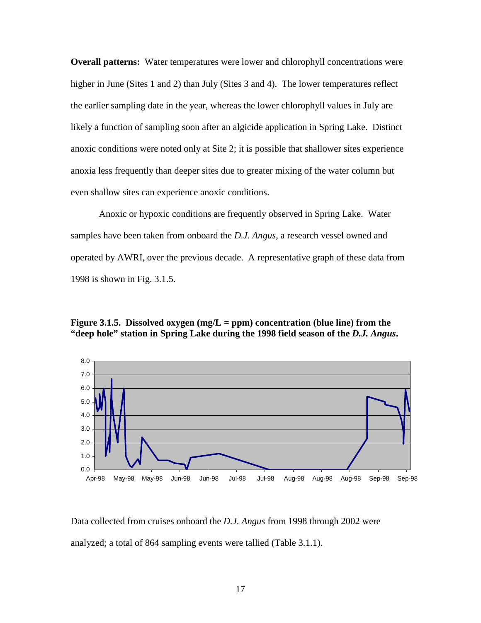**Overall patterns:** Water temperatures were lower and chlorophyll concentrations were higher in June (Sites 1 and 2) than July (Sites 3 and 4). The lower temperatures reflect the earlier sampling date in the year, whereas the lower chlorophyll values in July are likely a function of sampling soon after an algicide application in Spring Lake. Distinct anoxic conditions were noted only at Site 2; it is possible that shallower sites experience anoxia less frequently than deeper sites due to greater mixing of the water column but even shallow sites can experience anoxic conditions.

 Anoxic or hypoxic conditions are frequently observed in Spring Lake. Water samples have been taken from onboard the *D.J. Angus*, a research vessel owned and operated by AWRI, over the previous decade. A representative graph of these data from 1998 is shown in Fig. 3.1.5.

#### **Figure 3.1.5. Dissolved oxygen (mg/L = ppm) concentration (blue line) from the "deep hole" station in Spring Lake during the 1998 field season of the** *D.J. Angus***.**



Data collected from cruises onboard the *D.J. Angus* from 1998 through 2002 were analyzed; a total of 864 sampling events were tallied (Table 3.1.1).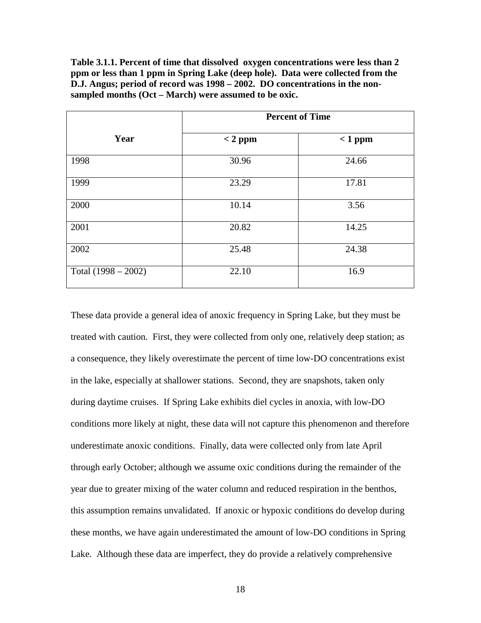**Table 3.1.1. Percent of time that dissolved oxygen concentrations were less than 2 ppm or less than 1 ppm in Spring Lake (deep hole). Data were collected from the D.J. Angus; period of record was 1998 – 2002. DO concentrations in the nonsampled months (Oct – March) were assumed to be oxic.** 

|                       | <b>Percent of Time</b> |           |  |
|-----------------------|------------------------|-----------|--|
| Year                  | $< 2$ ppm              | $< 1$ ppm |  |
| 1998                  | 30.96                  | 24.66     |  |
| 1999                  | 23.29                  | 17.81     |  |
| 2000                  | 10.14                  | 3.56      |  |
| 2001                  | 20.82                  | 14.25     |  |
| 2002                  | 25.48                  | 24.38     |  |
| Total $(1998 - 2002)$ | 22.10                  | 16.9      |  |

These data provide a general idea of anoxic frequency in Spring Lake, but they must be treated with caution. First, they were collected from only one, relatively deep station; as a consequence, they likely overestimate the percent of time low-DO concentrations exist in the lake, especially at shallower stations. Second, they are snapshots, taken only during daytime cruises. If Spring Lake exhibits diel cycles in anoxia, with low-DO conditions more likely at night, these data will not capture this phenomenon and therefore underestimate anoxic conditions. Finally, data were collected only from late April through early October; although we assume oxic conditions during the remainder of the year due to greater mixing of the water column and reduced respiration in the benthos, this assumption remains unvalidated. If anoxic or hypoxic conditions do develop during these months, we have again underestimated the amount of low-DO conditions in Spring Lake. Although these data are imperfect, they do provide a relatively comprehensive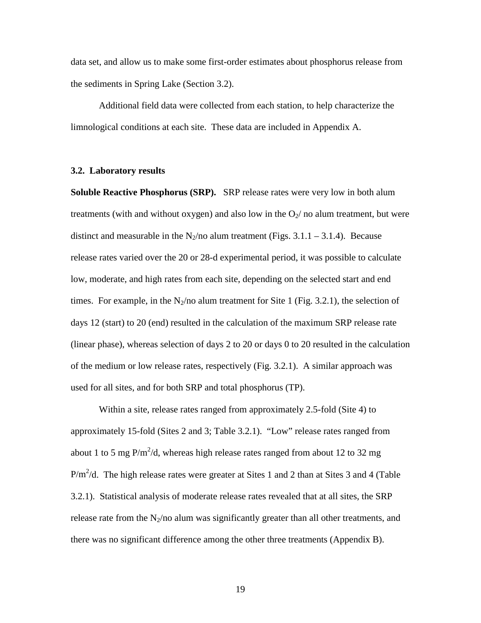data set, and allow us to make some first-order estimates about phosphorus release from the sediments in Spring Lake (Section 3.2).

 Additional field data were collected from each station, to help characterize the limnological conditions at each site. These data are included in Appendix A.

#### **3.2. Laboratory results**

**Soluble Reactive Phosphorus (SRP).** SRP release rates were very low in both alum treatments (with and without oxygen) and also low in the  $O_2$  no alum treatment, but were distinct and measurable in the N<sub>2</sub>/no alum treatment (Figs. 3.1.1 – 3.1.4). Because release rates varied over the 20 or 28-d experimental period, it was possible to calculate low, moderate, and high rates from each site, depending on the selected start and end times. For example, in the  $N_2$ /no alum treatment for Site 1 (Fig. 3.2.1), the selection of days 12 (start) to 20 (end) resulted in the calculation of the maximum SRP release rate (linear phase), whereas selection of days 2 to 20 or days 0 to 20 resulted in the calculation of the medium or low release rates, respectively (Fig. 3.2.1). A similar approach was used for all sites, and for both SRP and total phosphorus (TP).

Within a site, release rates ranged from approximately 2.5-fold (Site 4) to approximately 15-fold (Sites 2 and 3; Table 3.2.1). "Low" release rates ranged from about 1 to 5 mg P/m<sup>2</sup>/d, whereas high release rates ranged from about 12 to 32 mg  $P/m^2/d$ . The high release rates were greater at Sites 1 and 2 than at Sites 3 and 4 (Table 3.2.1). Statistical analysis of moderate release rates revealed that at all sites, the SRP release rate from the  $N_2/n_0$  alum was significantly greater than all other treatments, and there was no significant difference among the other three treatments (Appendix B).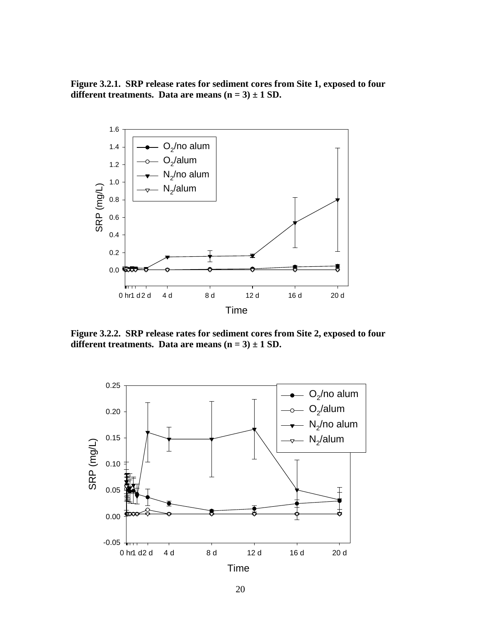**Figure 3.2.1. SRP release rates for sediment cores from Site 1, exposed to four**  different treatments. Data are means  $(n = 3) \pm 1$  SD.



**Figure 3.2.2. SRP release rates for sediment cores from Site 2, exposed to four**  different treatments. Data are means  $(n = 3) \pm 1$  SD.

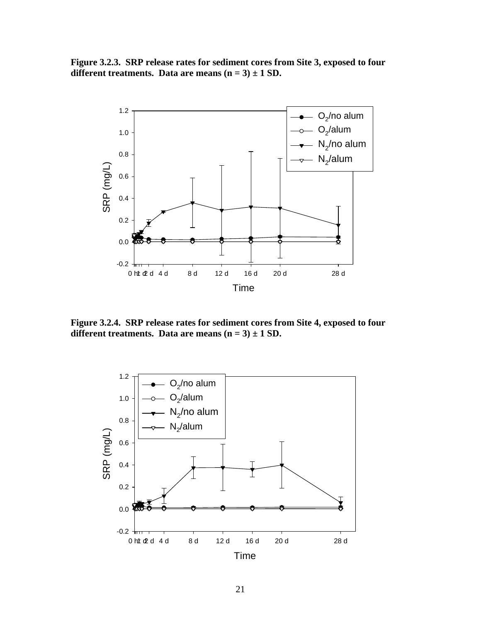**Figure 3.2.3. SRP release rates for sediment cores from Site 3, exposed to four**  different treatments. Data are means  $(n = 3) \pm 1$  SD.



**Figure 3.2.4. SRP release rates for sediment cores from Site 4, exposed to four**  different treatments. Data are means  $(n = 3) \pm 1$  SD.

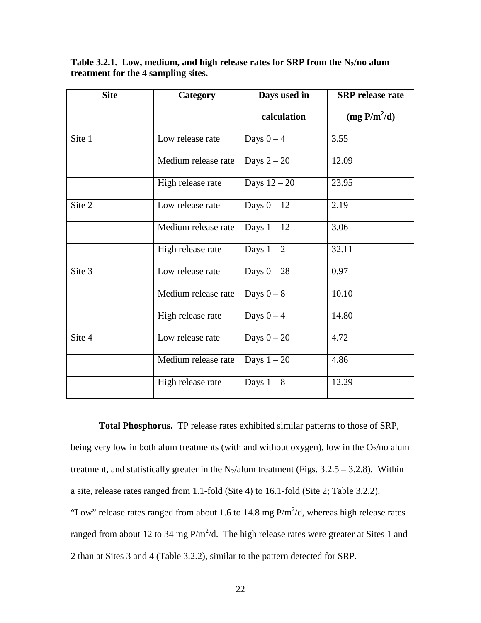Table 3.2.1. Low, medium, and high release rates for SRP from the N<sub>2</sub>/no alum **treatment for the 4 sampling sites.** 

| <b>Site</b><br>Category |                     | Days used in  | <b>SRP</b> release rate |
|-------------------------|---------------------|---------------|-------------------------|
|                         |                     | calculation   | $(mg P/m^2/d)$          |
| Site 1                  | Low release rate    | Days $0 - 4$  | 3.55                    |
|                         | Medium release rate | Days $2-20$   | 12.09                   |
|                         | High release rate   | Days $12-20$  | 23.95                   |
| Site 2                  | Low release rate    | Days $0 - 12$ | 2.19                    |
|                         | Medium release rate | Days $1 - 12$ | 3.06                    |
|                         | High release rate   | Days $1-2$    | 32.11                   |
| Site 3                  | Low release rate    | Days $0-28$   | 0.97                    |
|                         | Medium release rate | Days $0 - 8$  | 10.10                   |
|                         | High release rate   | Days $0-4$    | 14.80                   |
| Site 4                  | Low release rate    | Days $0 - 20$ | 4.72                    |
|                         | Medium release rate | Days $1-20$   | 4.86                    |
|                         | High release rate   | Days $1-8$    | 12.29                   |

**Total Phosphorus.** TP release rates exhibited similar patterns to those of SRP, being very low in both alum treatments (with and without oxygen), low in the  $O_2$ /no alum treatment, and statistically greater in the N<sub>2</sub>/alum treatment (Figs.  $3.2.5 - 3.2.8$ ). Within a site, release rates ranged from 1.1-fold (Site 4) to 16.1-fold (Site 2; Table 3.2.2). "Low" release rates ranged from about 1.6 to 14.8 mg  $P/m^2/d$ , whereas high release rates ranged from about 12 to 34 mg  $P/m^2/d$ . The high release rates were greater at Sites 1 and 2 than at Sites 3 and 4 (Table 3.2.2), similar to the pattern detected for SRP.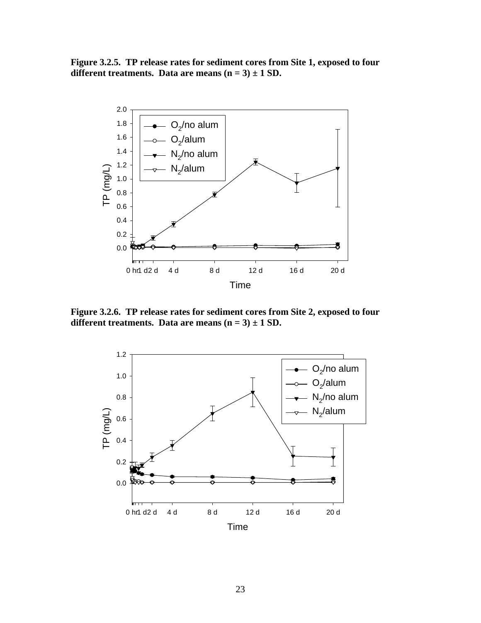**Figure 3.2.5. TP release rates for sediment cores from Site 1, exposed to four**  different treatments. Data are means  $(n = 3) \pm 1$  SD.



**Figure 3.2.6. TP release rates for sediment cores from Site 2, exposed to four**  different treatments. Data are means  $(n = 3) \pm 1$  SD.

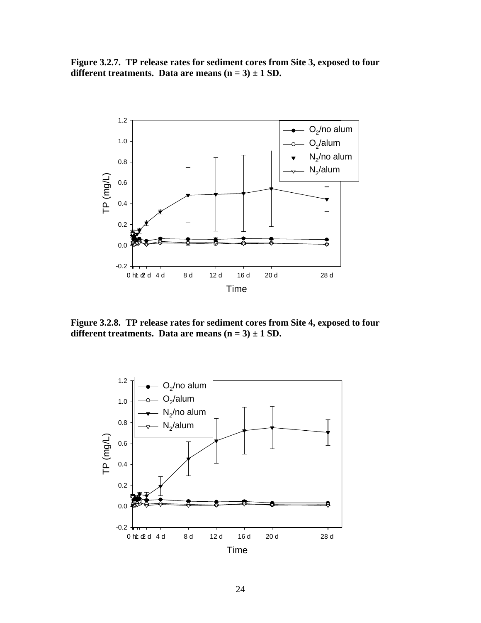**Figure 3.2.7. TP release rates for sediment cores from Site 3, exposed to four**  different treatments. Data are means  $(n = 3) \pm 1$  SD.



**Figure 3.2.8. TP release rates for sediment cores from Site 4, exposed to four**  different treatments. Data are means  $(n = 3) \pm 1$  SD.

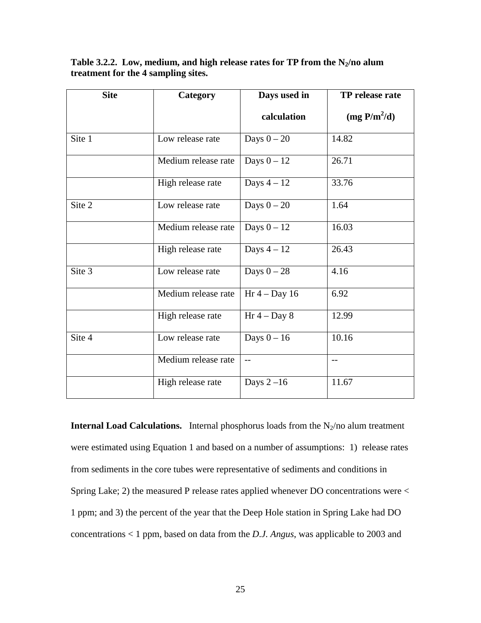Table 3.2.2. Low, medium, and high release rates for TP from the N<sub>2</sub>/no alum **treatment for the 4 sampling sites.** 

| <b>Site</b> | Category            | Days used in    | TP release rate |
|-------------|---------------------|-----------------|-----------------|
|             |                     | calculation     | $(mg P/m^2/d)$  |
| Site 1      | Low release rate    | Days $0-20$     | 14.82           |
|             | Medium release rate | Days $0 - 12$   | 26.71           |
|             | High release rate   | Days $4-12$     | 33.76           |
| Site 2      | Low release rate    | Days $0 - 20$   | 1.64            |
|             | Medium release rate | Days $0 - 12$   | 16.03           |
|             | High release rate   | Days $4-12$     | 26.43           |
| Site 3      | Low release rate    | Days $0-28$     | 4.16            |
|             | Medium release rate | Hr $4 - Day 16$ | 6.92            |
|             | High release rate   | Hr $4 - Day 8$  | 12.99           |
| Site 4      | Low release rate    | Days $0 - 16$   | 10.16           |
|             | Medium release rate | $-$             | $-$             |
|             | High release rate   | Days $2-16$     | 11.67           |

**Internal Load Calculations.** Internal phosphorus loads from the  $N_2$ /no alum treatment were estimated using Equation 1 and based on a number of assumptions: 1) release rates from sediments in the core tubes were representative of sediments and conditions in Spring Lake; 2) the measured P release rates applied whenever DO concentrations were < 1 ppm; and 3) the percent of the year that the Deep Hole station in Spring Lake had DO concentrations < 1 ppm, based on data from the *D.J. Angus*, was applicable to 2003 and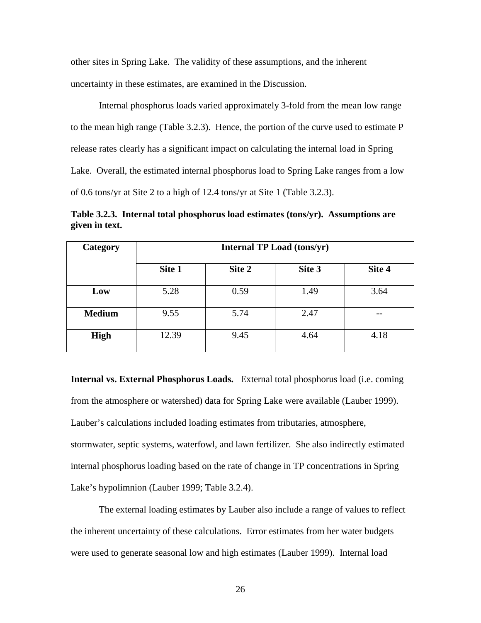other sites in Spring Lake. The validity of these assumptions, and the inherent uncertainty in these estimates, are examined in the Discussion.

 Internal phosphorus loads varied approximately 3-fold from the mean low range to the mean high range (Table 3.2.3). Hence, the portion of the curve used to estimate P release rates clearly has a significant impact on calculating the internal load in Spring Lake. Overall, the estimated internal phosphorus load to Spring Lake ranges from a low of 0.6 tons/yr at Site 2 to a high of 12.4 tons/yr at Site 1 (Table 3.2.3).

**Table 3.2.3. Internal total phosphorus load estimates (tons/yr). Assumptions are given in text.** 

| Category      | <b>Internal TP Load (tons/yr)</b> |        |        |        |
|---------------|-----------------------------------|--------|--------|--------|
|               | Site 1                            | Site 2 | Site 3 | Site 4 |
| Low           | 5.28                              | 0.59   | 1.49   | 3.64   |
| <b>Medium</b> | 9.55                              | 5.74   | 2.47   |        |
| High          | 12.39                             | 9.45   | 4.64   | 4.18   |

**Internal vs. External Phosphorus Loads.** External total phosphorus load (i.e. coming from the atmosphere or watershed) data for Spring Lake were available (Lauber 1999). Lauber's calculations included loading estimates from tributaries, atmosphere, stormwater, septic systems, waterfowl, and lawn fertilizer. She also indirectly estimated internal phosphorus loading based on the rate of change in TP concentrations in Spring Lake's hypolimnion (Lauber 1999; Table 3.2.4).

 The external loading estimates by Lauber also include a range of values to reflect the inherent uncertainty of these calculations. Error estimates from her water budgets were used to generate seasonal low and high estimates (Lauber 1999). Internal load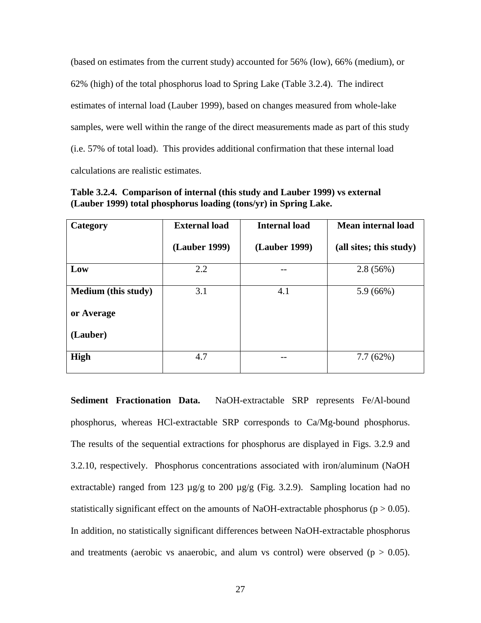(based on estimates from the current study) accounted for 56% (low), 66% (medium), or 62% (high) of the total phosphorus load to Spring Lake (Table 3.2.4). The indirect estimates of internal load (Lauber 1999), based on changes measured from whole-lake samples, were well within the range of the direct measurements made as part of this study (i.e. 57% of total load). This provides additional confirmation that these internal load calculations are realistic estimates.

| Category                   | <b>External load</b> | <b>Internal load</b> | <b>Mean internal load</b> |
|----------------------------|----------------------|----------------------|---------------------------|
|                            | (Lauber 1999)        | (Lauber 1999)        | (all sites; this study)   |
| Low                        | 2.2                  |                      | 2.8(56%)                  |
| <b>Medium</b> (this study) | 3.1                  | 4.1                  | 5.9(66%)                  |
| or Average                 |                      |                      |                           |
| (Lauber)                   |                      |                      |                           |
| High                       | 4.7                  |                      | 7.7(62%)                  |

**Table 3.2.4. Comparison of internal (this study and Lauber 1999) vs external (Lauber 1999) total phosphorus loading (tons/yr) in Spring Lake.** 

**Sediment Fractionation Data.** NaOH-extractable SRP represents Fe/Al-bound phosphorus, whereas HCl-extractable SRP corresponds to Ca/Mg-bound phosphorus. The results of the sequential extractions for phosphorus are displayed in Figs. 3.2.9 and 3.2.10, respectively. Phosphorus concentrations associated with iron/aluminum (NaOH extractable) ranged from 123  $\mu$ g/g to 200  $\mu$ g/g (Fig. 3.2.9). Sampling location had no statistically significant effect on the amounts of NaOH-extractable phosphorus ( $p > 0.05$ ). In addition, no statistically significant differences between NaOH-extractable phosphorus and treatments (aerobic vs anaerobic, and alum vs control) were observed ( $p > 0.05$ ).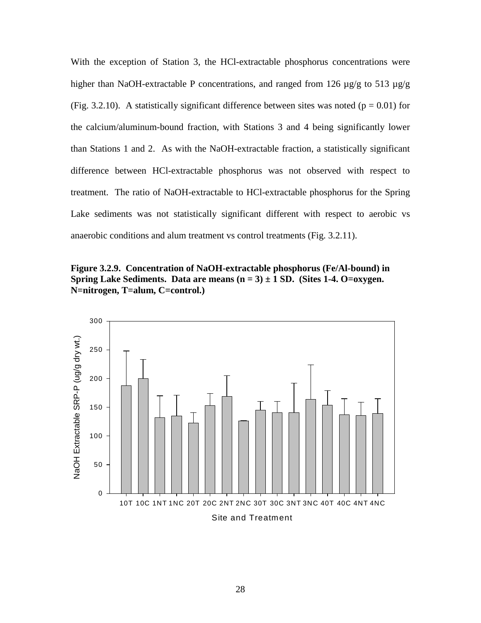With the exception of Station 3, the HCl-extractable phosphorus concentrations were higher than NaOH-extractable P concentrations, and ranged from 126  $\mu$ g/g to 513  $\mu$ g/g (Fig. 3.2.10). A statistically significant difference between sites was noted ( $p = 0.01$ ) for the calcium/aluminum-bound fraction, with Stations 3 and 4 being significantly lower than Stations 1 and 2. As with the NaOH-extractable fraction, a statistically significant difference between HCl-extractable phosphorus was not observed with respect to treatment. The ratio of NaOH-extractable to HCl-extractable phosphorus for the Spring Lake sediments was not statistically significant different with respect to aerobic vs anaerobic conditions and alum treatment vs control treatments (Fig. 3.2.11).

**Figure 3.2.9. Concentration of NaOH-extractable phosphorus (Fe/Al-bound) in Spring Lake Sediments. Data are means**  $(n = 3) \pm 1$  **SD. (Sites 1-4. O=oxygen. N=nitrogen, T=alum, C=control.)** 

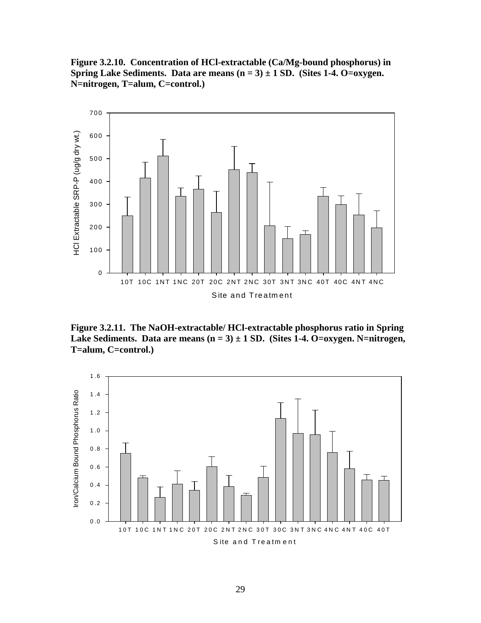**Figure 3.2.10. Concentration of HCl-extractable (Ca/Mg-bound phosphorus) in Spring Lake Sediments. Data are means**  $(n = 3) \pm 1$  **SD. (Sites 1-4. O=oxygen. N=nitrogen, T=alum, C=control.)** 



**Figure 3.2.11. The NaOH-extractable/ HCl-extractable phosphorus ratio in Spring**  Lake Sediments. Data are means (n = 3)  $\pm$  1 SD. (Sites 1-4. O=oxygen. N=nitrogen, **T=alum, C=control.)** 

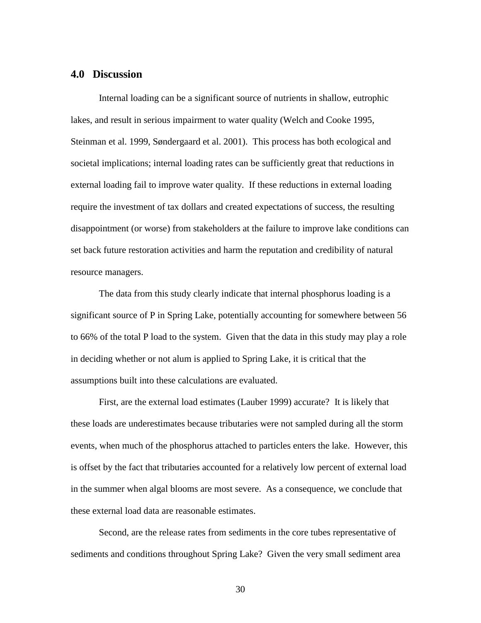#### **4.0 Discussion**

Internal loading can be a significant source of nutrients in shallow, eutrophic lakes, and result in serious impairment to water quality (Welch and Cooke 1995, Steinman et al. 1999, Søndergaard et al. 2001). This process has both ecological and societal implications; internal loading rates can be sufficiently great that reductions in external loading fail to improve water quality. If these reductions in external loading require the investment of tax dollars and created expectations of success, the resulting disappointment (or worse) from stakeholders at the failure to improve lake conditions can set back future restoration activities and harm the reputation and credibility of natural resource managers.

The data from this study clearly indicate that internal phosphorus loading is a significant source of P in Spring Lake, potentially accounting for somewhere between 56 to 66% of the total P load to the system. Given that the data in this study may play a role in deciding whether or not alum is applied to Spring Lake, it is critical that the assumptions built into these calculations are evaluated.

First, are the external load estimates (Lauber 1999) accurate? It is likely that these loads are underestimates because tributaries were not sampled during all the storm events, when much of the phosphorus attached to particles enters the lake. However, this is offset by the fact that tributaries accounted for a relatively low percent of external load in the summer when algal blooms are most severe. As a consequence, we conclude that these external load data are reasonable estimates.

Second, are the release rates from sediments in the core tubes representative of sediments and conditions throughout Spring Lake? Given the very small sediment area

30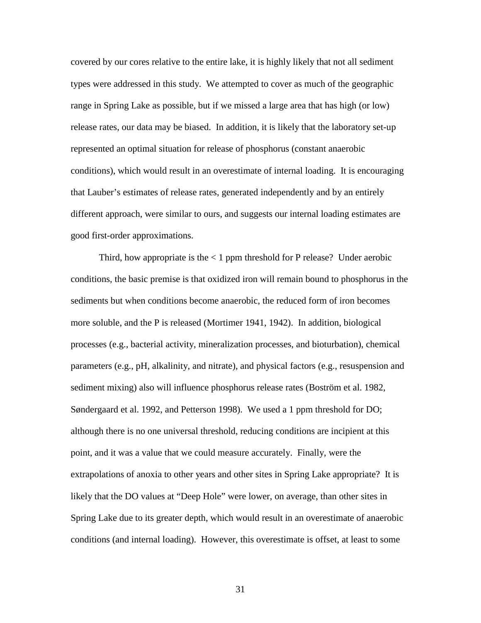covered by our cores relative to the entire lake, it is highly likely that not all sediment types were addressed in this study. We attempted to cover as much of the geographic range in Spring Lake as possible, but if we missed a large area that has high (or low) release rates, our data may be biased. In addition, it is likely that the laboratory set-up represented an optimal situation for release of phosphorus (constant anaerobic conditions), which would result in an overestimate of internal loading. It is encouraging that Lauber's estimates of release rates, generated independently and by an entirely different approach, were similar to ours, and suggests our internal loading estimates are good first-order approximations.

Third, how appropriate is the  $\lt 1$  ppm threshold for P release? Under aerobic conditions, the basic premise is that oxidized iron will remain bound to phosphorus in the sediments but when conditions become anaerobic, the reduced form of iron becomes more soluble, and the P is released (Mortimer 1941, 1942). In addition, biological processes (e.g., bacterial activity, mineralization processes, and bioturbation), chemical parameters (e.g., pH, alkalinity, and nitrate), and physical factors (e.g., resuspension and sediment mixing) also will influence phosphorus release rates (Boström et al. 1982, Søndergaard et al. 1992, and Petterson 1998). We used a 1 ppm threshold for DO; although there is no one universal threshold, reducing conditions are incipient at this point, and it was a value that we could measure accurately. Finally, were the extrapolations of anoxia to other years and other sites in Spring Lake appropriate? It is likely that the DO values at "Deep Hole" were lower, on average, than other sites in Spring Lake due to its greater depth, which would result in an overestimate of anaerobic conditions (and internal loading). However, this overestimate is offset, at least to some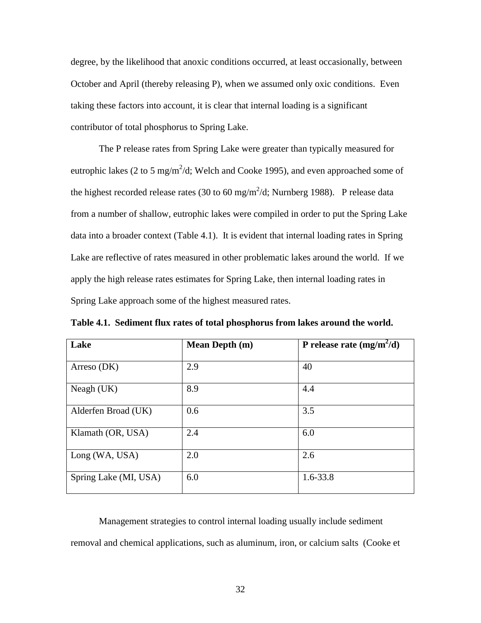degree, by the likelihood that anoxic conditions occurred, at least occasionally, between October and April (thereby releasing P), when we assumed only oxic conditions. Even taking these factors into account, it is clear that internal loading is a significant contributor of total phosphorus to Spring Lake.

The P release rates from Spring Lake were greater than typically measured for eutrophic lakes (2 to 5 mg/m<sup>2</sup>/d; Welch and Cooke 1995), and even approached some of the highest recorded release rates (30 to 60 mg/m<sup>2</sup>/d; Nurnberg 1988). P release data from a number of shallow, eutrophic lakes were compiled in order to put the Spring Lake data into a broader context (Table 4.1). It is evident that internal loading rates in Spring Lake are reflective of rates measured in other problematic lakes around the world. If we apply the high release rates estimates for Spring Lake, then internal loading rates in Spring Lake approach some of the highest measured rates.

| Lake                  | <b>Mean Depth (m)</b> | P release rate $(mg/m^2/d)$ |
|-----------------------|-----------------------|-----------------------------|
| Arreso $(DK)$         | 2.9                   | 40                          |
| Neagh $(UK)$          | 8.9                   | 4.4                         |
| Alderfen Broad (UK)   | 0.6                   | 3.5                         |
| Klamath (OR, USA)     | 2.4                   | 6.0                         |
| Long (WA, USA)        | 2.0                   | 2.6                         |
| Spring Lake (MI, USA) | 6.0                   | $1.6 - 33.8$                |

Management strategies to control internal loading usually include sediment removal and chemical applications, such as aluminum, iron, or calcium salts (Cooke et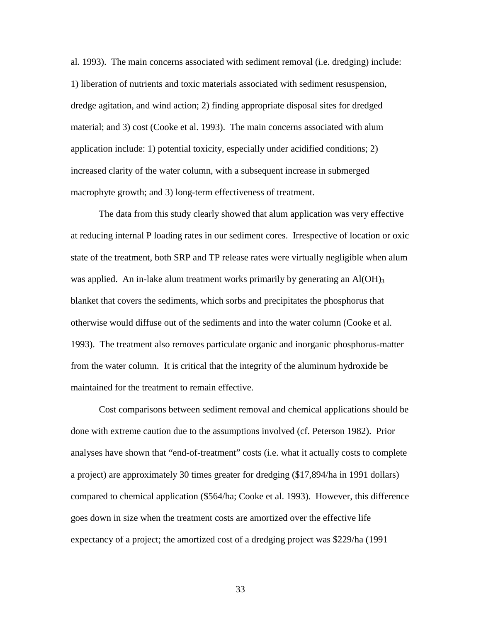al. 1993). The main concerns associated with sediment removal (i.e. dredging) include: 1) liberation of nutrients and toxic materials associated with sediment resuspension, dredge agitation, and wind action; 2) finding appropriate disposal sites for dredged material; and 3) cost (Cooke et al. 1993). The main concerns associated with alum application include: 1) potential toxicity, especially under acidified conditions; 2) increased clarity of the water column, with a subsequent increase in submerged macrophyte growth; and 3) long-term effectiveness of treatment.

 The data from this study clearly showed that alum application was very effective at reducing internal P loading rates in our sediment cores. Irrespective of location or oxic state of the treatment, both SRP and TP release rates were virtually negligible when alum was applied. An in-lake alum treatment works primarily by generating an  $Al(OH)_{3}$ blanket that covers the sediments, which sorbs and precipitates the phosphorus that otherwise would diffuse out of the sediments and into the water column (Cooke et al. 1993). The treatment also removes particulate organic and inorganic phosphorus-matter from the water column. It is critical that the integrity of the aluminum hydroxide be maintained for the treatment to remain effective.

Cost comparisons between sediment removal and chemical applications should be done with extreme caution due to the assumptions involved (cf. Peterson 1982). Prior analyses have shown that "end-of-treatment" costs (i.e. what it actually costs to complete a project) are approximately 30 times greater for dredging (\$17,894/ha in 1991 dollars) compared to chemical application (\$564/ha; Cooke et al. 1993). However, this difference goes down in size when the treatment costs are amortized over the effective life expectancy of a project; the amortized cost of a dredging project was \$229/ha (1991

33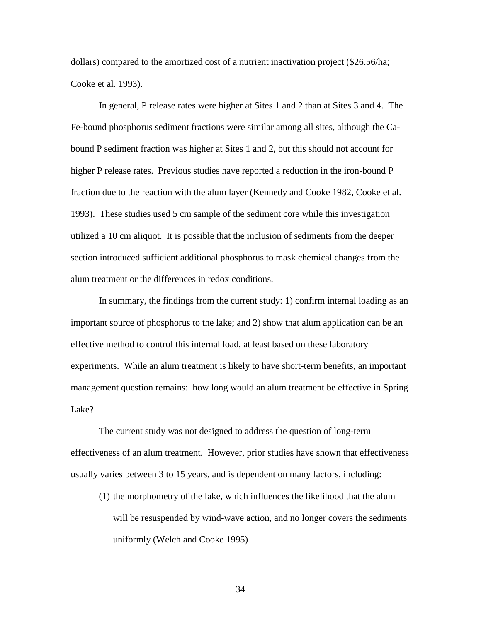dollars) compared to the amortized cost of a nutrient inactivation project (\$26.56/ha; Cooke et al. 1993).

In general, P release rates were higher at Sites 1 and 2 than at Sites 3 and 4. The Fe-bound phosphorus sediment fractions were similar among all sites, although the Cabound P sediment fraction was higher at Sites 1 and 2, but this should not account for higher P release rates. Previous studies have reported a reduction in the iron-bound P fraction due to the reaction with the alum layer (Kennedy and Cooke 1982, Cooke et al. 1993). These studies used 5 cm sample of the sediment core while this investigation utilized a 10 cm aliquot. It is possible that the inclusion of sediments from the deeper section introduced sufficient additional phosphorus to mask chemical changes from the alum treatment or the differences in redox conditions.

In summary, the findings from the current study: 1) confirm internal loading as an important source of phosphorus to the lake; and 2) show that alum application can be an effective method to control this internal load, at least based on these laboratory experiments. While an alum treatment is likely to have short-term benefits, an important management question remains: how long would an alum treatment be effective in Spring Lake?

 The current study was not designed to address the question of long-term effectiveness of an alum treatment. However, prior studies have shown that effectiveness usually varies between 3 to 15 years, and is dependent on many factors, including:

(1) the morphometry of the lake, which influences the likelihood that the alum will be resuspended by wind-wave action, and no longer covers the sediments uniformly (Welch and Cooke 1995)

34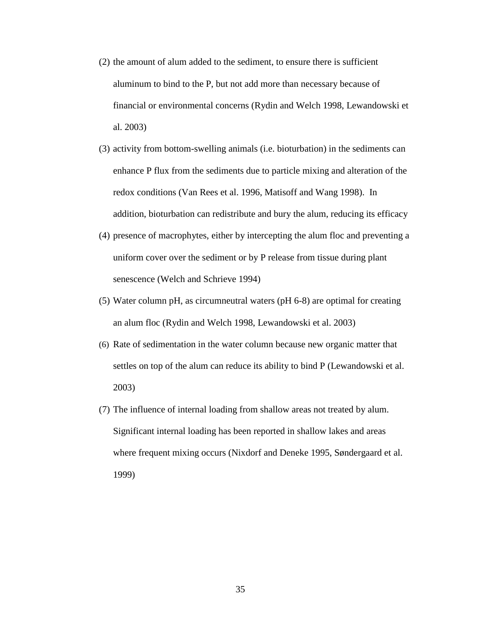- (2) the amount of alum added to the sediment, to ensure there is sufficient aluminum to bind to the P, but not add more than necessary because of financial or environmental concerns (Rydin and Welch 1998, Lewandowski et al. 2003)
- (3) activity from bottom-swelling animals (i.e. bioturbation) in the sediments can enhance P flux from the sediments due to particle mixing and alteration of the redox conditions (Van Rees et al. 1996, Matisoff and Wang 1998). In addition, bioturbation can redistribute and bury the alum, reducing its efficacy
- (4) presence of macrophytes, either by intercepting the alum floc and preventing a uniform cover over the sediment or by P release from tissue during plant senescence (Welch and Schrieve 1994)
- (5) Water column pH, as circumneutral waters (pH 6-8) are optimal for creating an alum floc (Rydin and Welch 1998, Lewandowski et al. 2003)
- (6) Rate of sedimentation in the water column because new organic matter that settles on top of the alum can reduce its ability to bind P (Lewandowski et al. 2003)
- (7) The influence of internal loading from shallow areas not treated by alum. Significant internal loading has been reported in shallow lakes and areas where frequent mixing occurs (Nixdorf and Deneke 1995, Søndergaard et al. 1999)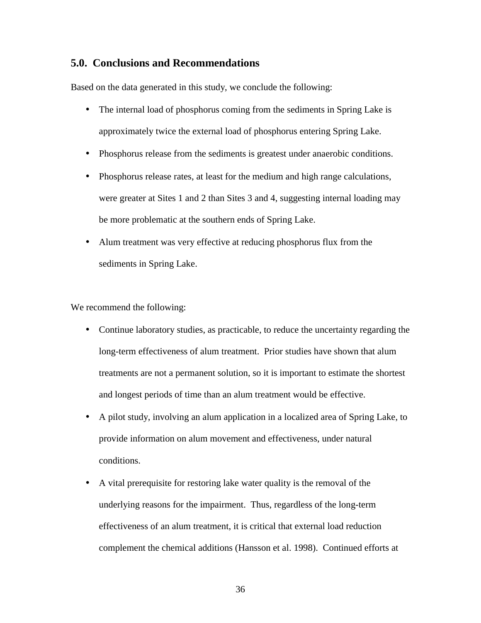#### **5.0. Conclusions and Recommendations**

Based on the data generated in this study, we conclude the following:

- The internal load of phosphorus coming from the sediments in Spring Lake is approximately twice the external load of phosphorus entering Spring Lake.
- Phosphorus release from the sediments is greatest under anaerobic conditions.
- Phosphorus release rates, at least for the medium and high range calculations, were greater at Sites 1 and 2 than Sites 3 and 4, suggesting internal loading may be more problematic at the southern ends of Spring Lake.
- Alum treatment was very effective at reducing phosphorus flux from the sediments in Spring Lake.

We recommend the following:

- Continue laboratory studies, as practicable, to reduce the uncertainty regarding the long-term effectiveness of alum treatment. Prior studies have shown that alum treatments are not a permanent solution, so it is important to estimate the shortest and longest periods of time than an alum treatment would be effective.
- A pilot study, involving an alum application in a localized area of Spring Lake, to provide information on alum movement and effectiveness, under natural conditions.
- A vital prerequisite for restoring lake water quality is the removal of the underlying reasons for the impairment. Thus, regardless of the long-term effectiveness of an alum treatment, it is critical that external load reduction complement the chemical additions (Hansson et al. 1998). Continued efforts at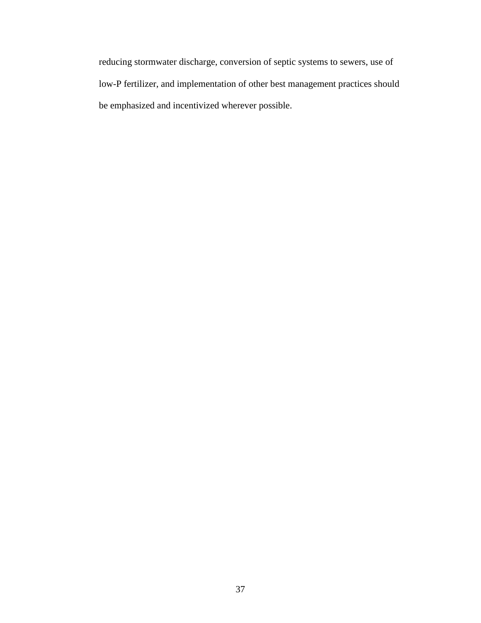reducing stormwater discharge, conversion of septic systems to sewers, use of low-P fertilizer, and implementation of other best management practices should be emphasized and incentivized wherever possible.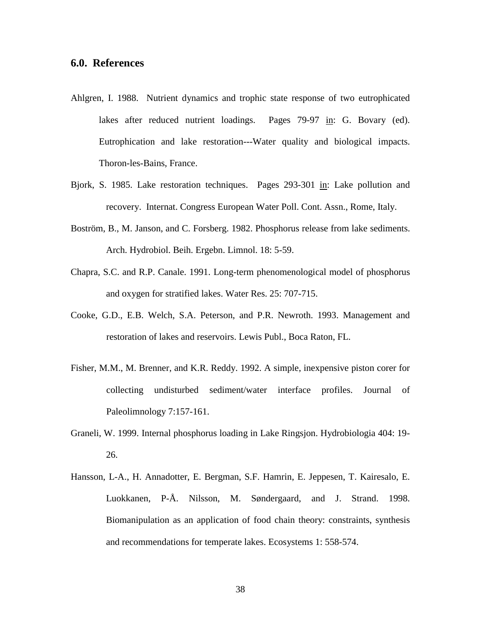#### **6.0. References**

- Ahlgren, I. 1988. Nutrient dynamics and trophic state response of two eutrophicated lakes after reduced nutrient loadings. Pages 79-97 in: G. Bovary (ed). Eutrophication and lake restoration---Water quality and biological impacts. Thoron-les-Bains, France.
- Bjork, S. 1985. Lake restoration techniques. Pages 293-301 in: Lake pollution and recovery. Internat. Congress European Water Poll. Cont. Assn., Rome, Italy.
- Boström, B., M. Janson, and C. Forsberg. 1982. Phosphorus release from lake sediments. Arch. Hydrobiol. Beih. Ergebn. Limnol. 18: 5-59.
- Chapra, S.C. and R.P. Canale. 1991. Long-term phenomenological model of phosphorus and oxygen for stratified lakes. Water Res. 25: 707-715.
- Cooke, G.D., E.B. Welch, S.A. Peterson, and P.R. Newroth. 1993. Management and restoration of lakes and reservoirs. Lewis Publ., Boca Raton, FL.
- Fisher, M.M., M. Brenner, and K.R. Reddy. 1992. A simple, inexpensive piston corer for collecting undisturbed sediment/water interface profiles. Journal of Paleolimnology 7:157-161.
- Graneli, W. 1999. Internal phosphorus loading in Lake Ringsjon. Hydrobiologia 404: 19- 26.
- Hansson, L-A., H. Annadotter, E. Bergman, S.F. Hamrin, E. Jeppesen, T. Kairesalo, E. Luokkanen, P-Å. Nilsson, M. Søndergaard, and J. Strand. 1998. Biomanipulation as an application of food chain theory: constraints, synthesis and recommendations for temperate lakes. Ecosystems 1: 558-574.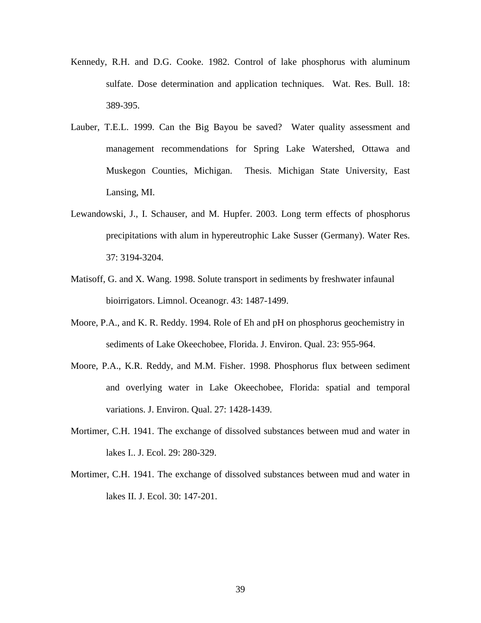- Kennedy, R.H. and D.G. Cooke. 1982. Control of lake phosphorus with aluminum sulfate. Dose determination and application techniques. Wat. Res. Bull. 18: 389-395.
- Lauber, T.E.L. 1999. Can the Big Bayou be saved? Water quality assessment and management recommendations for Spring Lake Watershed, Ottawa and Muskegon Counties, Michigan. Thesis. Michigan State University, East Lansing, MI.
- Lewandowski, J., I. Schauser, and M. Hupfer. 2003. Long term effects of phosphorus precipitations with alum in hypereutrophic Lake Susser (Germany). Water Res. 37: 3194-3204.
- Matisoff, G. and X. Wang. 1998. Solute transport in sediments by freshwater infaunal bioirrigators. Limnol. Oceanogr. 43: 1487-1499.
- Moore, P.A., and K. R. Reddy. 1994. Role of Eh and pH on phosphorus geochemistry in sediments of Lake Okeechobee, Florida. J. Environ. Qual. 23: 955-964.
- Moore, P.A., K.R. Reddy, and M.M. Fisher. 1998. Phosphorus flux between sediment and overlying water in Lake Okeechobee, Florida: spatial and temporal variations. J. Environ. Qual. 27: 1428-1439.
- Mortimer, C.H. 1941. The exchange of dissolved substances between mud and water in lakes I.. J. Ecol. 29: 280-329.
- Mortimer, C.H. 1941. The exchange of dissolved substances between mud and water in lakes II. J. Ecol. 30: 147-201.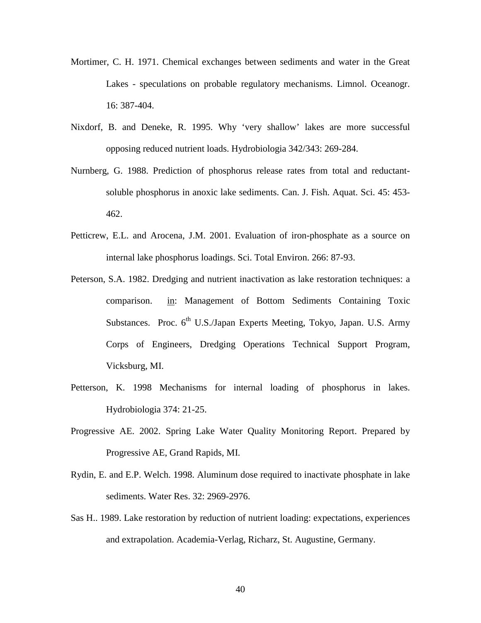- Mortimer, C. H. 1971. Chemical exchanges between sediments and water in the Great Lakes - speculations on probable regulatory mechanisms. Limnol. Oceanogr. 16: 387-404.
- Nixdorf, B. and Deneke, R. 1995. Why 'very shallow' lakes are more successful opposing reduced nutrient loads. Hydrobiologia 342/343: 269-284.
- Nurnberg, G. 1988. Prediction of phosphorus release rates from total and reductantsoluble phosphorus in anoxic lake sediments. Can. J. Fish. Aquat. Sci. 45: 453- 462.
- Petticrew, E.L. and Arocena, J.M. 2001. Evaluation of iron-phosphate as a source on internal lake phosphorus loadings. Sci. Total Environ. 266: 87-93.
- Peterson, S.A. 1982. Dredging and nutrient inactivation as lake restoration techniques: a comparison. in: Management of Bottom Sediments Containing Toxic Substances. Proc.  $6<sup>th</sup>$  U.S./Japan Experts Meeting, Tokyo, Japan. U.S. Army Corps of Engineers, Dredging Operations Technical Support Program, Vicksburg, MI.
- Petterson, K. 1998 Mechanisms for internal loading of phosphorus in lakes. Hydrobiologia 374: 21-25.
- Progressive AE. 2002. Spring Lake Water Quality Monitoring Report. Prepared by Progressive AE, Grand Rapids, MI.
- Rydin, E. and E.P. Welch. 1998. Aluminum dose required to inactivate phosphate in lake sediments. Water Res. 32: 2969-2976.
- Sas H.. 1989. Lake restoration by reduction of nutrient loading: expectations, experiences and extrapolation. Academia-Verlag, Richarz, St. Augustine, Germany.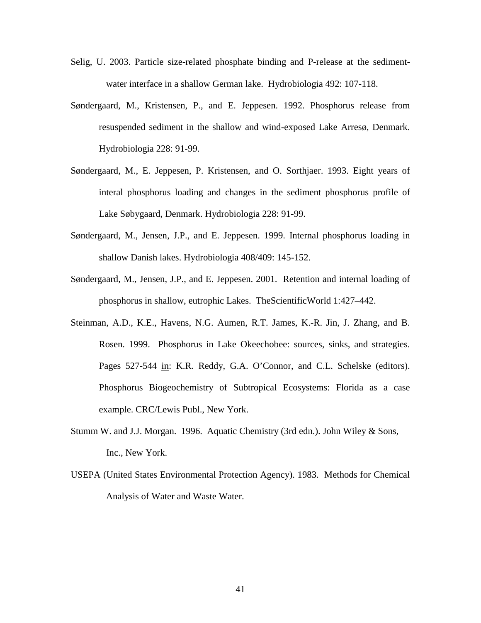- Selig, U. 2003. Particle size-related phosphate binding and P-release at the sedimentwater interface in a shallow German lake. Hydrobiologia 492: 107-118.
- Søndergaard, M., Kristensen, P., and E. Jeppesen. 1992. Phosphorus release from resuspended sediment in the shallow and wind-exposed Lake Arresø, Denmark. Hydrobiologia 228: 91-99.
- Søndergaard, M., E. Jeppesen, P. Kristensen, and O. Sorthjaer. 1993. Eight years of interal phosphorus loading and changes in the sediment phosphorus profile of Lake Søbygaard, Denmark. Hydrobiologia 228: 91-99.
- Søndergaard, M., Jensen, J.P., and E. Jeppesen. 1999. Internal phosphorus loading in shallow Danish lakes. Hydrobiologia 408/409: 145-152.
- Søndergaard, M., Jensen, J.P., and E. Jeppesen. 2001. Retention and internal loading of phosphorus in shallow, eutrophic Lakes. TheScientificWorld 1:427–442.
- Steinman, A.D., K.E., Havens, N.G. Aumen, R.T. James, K.-R. Jin, J. Zhang, and B. Rosen. 1999. Phosphorus in Lake Okeechobee: sources, sinks, and strategies. Pages 527-544 in: K.R. Reddy, G.A. O'Connor, and C.L. Schelske (editors). Phosphorus Biogeochemistry of Subtropical Ecosystems: Florida as a case example. CRC/Lewis Publ., New York.
- Stumm W. and J.J. Morgan. 1996. Aquatic Chemistry (3rd edn.). John Wiley & Sons, Inc., New York.
- USEPA (United States Environmental Protection Agency). 1983. Methods for Chemical Analysis of Water and Waste Water.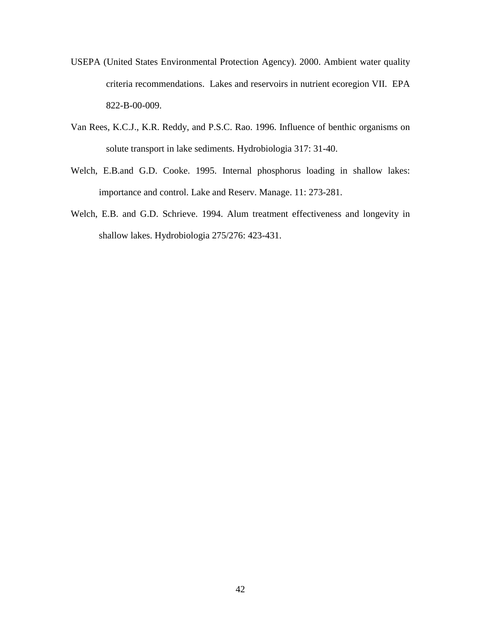- USEPA (United States Environmental Protection Agency). 2000. Ambient water quality criteria recommendations. Lakes and reservoirs in nutrient ecoregion VII. EPA 822-B-00-009.
- Van Rees, K.C.J., K.R. Reddy, and P.S.C. Rao. 1996. Influence of benthic organisms on solute transport in lake sediments. Hydrobiologia 317: 31-40.
- Welch, E.B.and G.D. Cooke. 1995. Internal phosphorus loading in shallow lakes: importance and control. Lake and Reserv. Manage. 11: 273-281.
- Welch, E.B. and G.D. Schrieve. 1994. Alum treatment effectiveness and longevity in shallow lakes. Hydrobiologia 275/276: 423-431.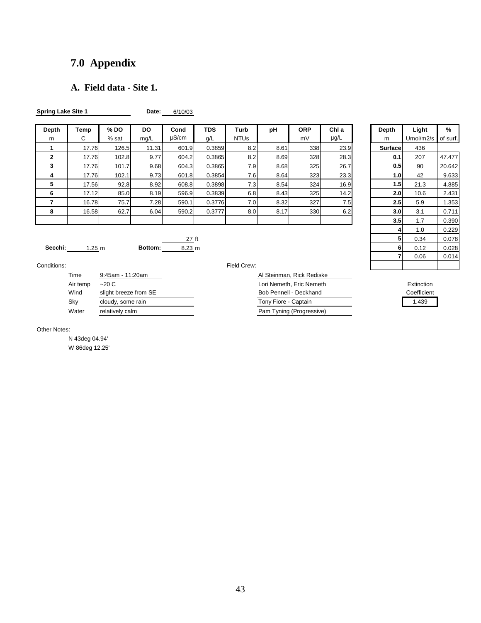# **7.0 Appendix**

# **A. Field data - Site 1.**

| <b>Spring Lake Site 1</b> |       |         | Date:     | 6/10/03 |            |                  |      |            |       |         |           |          |
|---------------------------|-------|---------|-----------|---------|------------|------------------|------|------------|-------|---------|-----------|----------|
| Depth                     | Temp  | % DO    | <b>DO</b> | Cond    | <b>TDS</b> | Turb             | рH   | <b>ORP</b> | Chl a | Depth   | Light     | %        |
| m                         | C     | $%$ sat | mg/L      | uS/cm   | g/L        | <b>NTUs</b>      |      | mV         | μg/L  | m       | Umol/m2/s | of surf. |
|                           | 17.76 | 126.5   | 11.31     | 601.9   | 0.3859     | 8.2              | 8.61 | 338        | 23.9  | Surface | 436       |          |
| $\mathbf{2}$              | 17.76 | 102.8   | 9.77      | 604.2   | 0.3865     | 8.2              | 8.69 | 328        | 28.3  | 0.1     | 207       | 47.477   |
| 3                         | 17.76 | 101.7   | 9.68      | 604.3   | 0.3865     | 7.9              | 8.68 | 325        | 26.7  | 0.5     | 90        | 20.642   |
| 4                         | 17.76 | 102.1   | 9.73      | 601.8   | 0.3854     | 7.6              | 8.64 | 323        | 23.3  | 1.0     | 42        | 9.633    |
| 5                         | 17.56 | 92.8    | 8.92      | 608.8   | 0.3898     | 7.3              | 8.54 | 324        | 16.9  | 1.5     | 21.3      | 4.885    |
| 6                         | 17.12 | 85.0    | 8.19      | 596.9   | 0.3839     | 6.8              | 8.43 | 325        | 14.2  | 2.0     | 10.6      | 2.431    |
|                           | 16.78 | 75.7    | 7.28      | 590.1   | 0.3776     | 7.0              | 8.32 | 327        | 7.5   | 2.5     | 5.9       | 1.353    |
| 8                         | 16.58 | 62.7    | 6.04      | 590.2   | 0.3777     | 8.0 <sub>1</sub> | 8.17 | 330        | 6.2   | 3.0     | 3.1       | 0.711    |
|                           |       |         |           |         |            |                  |      |            |       | 3.5     | 1.7       | 0.390    |
|                           |       |         |           |         |            |                  |      |            |       |         |           |          |

|                         | <b>TDS</b><br>g/L | Turb<br><b>NTUs</b> | pH   | <b>ORP</b><br>mV | Chl a<br>$\mu$ g/L |  | Depth<br>m | Light<br>Umol/m2/s | %<br>of surf. |
|-------------------------|-------------------|---------------------|------|------------------|--------------------|--|------------|--------------------|---------------|
|                         | 0.3859            |                     | 8.61 | 338              |                    |  | Surface    | 436                |               |
| .9                      |                   | 8.2                 |      |                  | 23.9               |  |            |                    |               |
| 2                       | 0.3865            | 8.2                 | 8.69 | 328              | 28.3               |  | 0.1        | 207                | 47.477        |
| 1.3                     | 0.3865            | 7.9                 | 8.68 | 325              | 26.7               |  | 0.5        | 90                 | 20.642        |
| $\overline{\mathbf{8}}$ | 0.3854            | 7.6                 | 8.64 | 323              | 23.3               |  | 1.0        | 42                 | 9.633         |
| 3.8 <sub>1</sub>        | 0.3898            | 7.3                 | 8.54 | 324              | 16.9               |  | 1.5        | 21.3               | 4.885         |
| 5.9                     | 0.3839            | 6.8                 | 8.43 | 325              | 14.2               |  | 2.0        | 10.6               | 2.431         |
| ).1                     | 0.3776            | 7.0                 | 8.32 | 327              | 7.5                |  | 2.5        | 5.9                | 1.353         |
| .2 <sub>0</sub>         | 0.3777            | 8.0                 | 8.17 | 330              | 6.2                |  | 3.0        | 3.1                | 0.711         |
|                         |                   |                     |      |                  |                    |  | 3.5        | 1.7                | 0.390         |
|                         |                   |                     |      |                  |                    |  | 4          | 1.0                | 0.229         |
| $\frac{27}{1}$ ft       |                   |                     |      |                  |                    |  | 5          | 0.34               | 0.078         |
| 23 m                    |                   |                     |      |                  |                    |  | 6          | 0.12               | 0.028         |
|                         |                   |                     |      |                  |                    |  | 7          | 0.06               | 0.014         |
| Field Crew:             |                   |                     |      |                  |                    |  |            |                    |               |

Conditions: Field C

| Time     | 9:45am - 11:20am      | Al Steinman, Rick Rediske |             |
|----------|-----------------------|---------------------------|-------------|
| Air temp | ~20 <sub>C</sub>      | Lori Nemeth, Eric Nemeth  | Extinction  |
| Wind     | slight breeze from SE | Bob Pennell - Deckhand    | Coefficient |
| Sky      | cloudy, some rain     | Tony Fiore - Captain      | 1.439       |
| Water    | relatively calm       | Pam Tyning (Progressive)  |             |

**Secchi:** 1.25 m **Bottom:** 8.23 m

|  | Field Crew: |  |
|--|-------------|--|
|  |             |  |

| Al Steinman, Rick Rediske |
|---------------------------|
| Lori Nemeth, Eric Nemeth  |
| Bob Pennell - Deckhand    |
| Tony Fiore - Captain      |
| Pam Tyning (Progressive)  |

#### Other Notes:

N 43deg 04.94' W 86deg 12.25'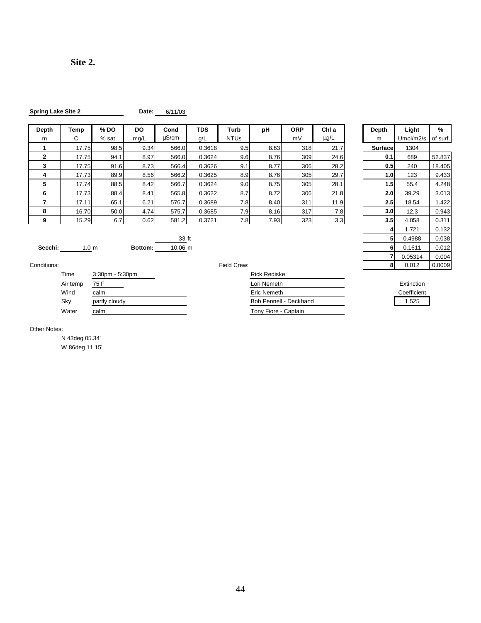| <b>Spring Lake Site 2</b> | Date: | 6/11/03 |
|---------------------------|-------|---------|
|                           |       |         |

| Depth | Temp  | % DO  | <b>DO</b> | Cond       | <b>TDS</b> | Turb        | рH   | <b>ORP</b> | Chl a     | Depth            | Light     | %        |
|-------|-------|-------|-----------|------------|------------|-------------|------|------------|-----------|------------------|-----------|----------|
| m     | С     | % sat | mg/L      | $\mu$ S/cm | g/L        | <b>NTUs</b> |      | mV         | $\mu$ g/L | m                | Umol/m2/s | of surf. |
|       | 17.75 | 98.5  | 9.34      | 566.0      | 0.3618     | 9.5         | 8.63 | 318        | 21.7      | Surface          | 1304      |          |
| 2     | 17.75 | 94.1  | 8.97      | 566.0      | 0.3624     | 9.6         | 8.76 | 309        | 24.6      | 0.1              | 689       | 52.837   |
|       | 17.75 | 91.6  | 8.73      | 566.4      | 0.3626     | 9.1         | 8.77 | 306        | 28.2      | 0.5 <sub>1</sub> | 240       | 18.405   |
| 4     | 17.73 | 89.9  | 8.56      | 566.2      | 0.3625     | 8.9         | 8.76 | 305        | 29.7      | 1.0 <sub>l</sub> | 123       | 9.433    |
| 5     | 17.74 | 88.5  | 8.42      | 566.7      | 0.3624     | 9.0         | 8.75 | 305        | 28.1      | 1.5              | 55.4      | 4.248    |
| 6     | 17.73 | 88.4  | 8.41      | 565.8      | 0.3622     | 8.7         | 8.72 | 306        | 21.8      | 2.0 <sub>l</sub> | 39.29     | 3.013    |
|       | 17.11 | 65.1  | 6.21      | 576.7      | 0.3689     | 7.8I        | 8.40 | 311        | 11.9      | 2.5              | 18.54     | .422     |
| 8     | 16.70 | 50.0  | 4.74      | 575.7      | 0.3685     | 7.9         | 8.16 | 317        | 7.8       | 3.0              | 12.3      | 0.943    |
| 9     | 15.29 | 6.7   | 0.62      | 581.2      | 0.3721     | 7.8I        | 7.93 | 323        | 3.3       | 3.5 <sub>1</sub> | 4.058     | 0.311    |

| )epth          | Temp             | % DO  | <b>DO</b> | Cond    | <b>TDS</b> | Turb        | pH   | <b>ORP</b> | Chl a     | Depth            | Light     | %        |
|----------------|------------------|-------|-----------|---------|------------|-------------|------|------------|-----------|------------------|-----------|----------|
| m              | С                | % sat | mg/L      | uS/cm   | g/L        | <b>NTUs</b> |      | mV         | $\mu$ g/L | m                | Umol/m2/s | of surf. |
|                | 17.75            | 98.5  | 9.34      | 566.0   | 0.3618     | 9.5         | 8.63 | 318        | 21.7      | Surface          | 1304      |          |
| $\overline{2}$ | 17.75            | 94.1  | 8.97      | 566.0   | 0.3624     | 9.6         | 8.76 | 309        | 24.6      | 0.1              | 689       | 52.837   |
| 3              | 17.75            | 91.6  | 8.73      | 566.4   | 0.3626     | 9.1         | 8.77 | 306        | 28.2      | 0.5              | 240       | 18.405   |
| 4              | 17.73            | 89.9  | 8.56      | 566.2   | 0.3625     | 8.9         | 8.76 | 305        | 29.7      | 1.0              | 123       | 9.433    |
| 5              | 17.74            | 88.5  | 8.42      | 566.7   | 0.3624     | 9.0         | 8.75 | 305        | 28.1      | 1.5              | 55.4      | 4.248    |
| 6              | 17.73            | 88.4  | 8.41      | 565.8   | 0.3622     | 8.7         | 8.72 | 306        | 21.8      | 2.0              | 39.29     | 3.013    |
| 7              | 17.11            | 65.1  | 6.21      | 576.7   | 0.3689     | 7.8         | 8.40 | 311        | 11.9      | 2.5              | 18.54     | 1.422    |
| 8              | 16.70            | 50.0  | 4.74      | 575.7   | 0.3685     | 7.9         | 8.16 | 317        | 7.8       | 3.0 <sub>l</sub> | 12.3      | 0.943    |
| 9              | 15.29            | 6.7   | 0.62      | 581.2   | 0.3721     | 7.8         | 7.93 | 323        | 3.3       | 3.5              | 4.058     | 0.311    |
|                |                  |       |           |         |            |             |      |            |           | 4                | 1.721     | 0.132    |
|                |                  |       |           | 33 ft   |            |             |      |            |           | 5                | 0.4988    | 0.038    |
| Secchi:        | 1.0 <sub>m</sub> |       | Bottom:   | 10.06 m |            |             |      |            |           | 6                | 0.1611    | 0.012    |
|                |                  |       |           |         |            |             |      |            |           |                  | 0.05314   | 0.004    |
| nditions:      |                  |       |           |         |            | Field Crew: |      |            |           | 8                | 0.012     | 0.0009   |

| Conditions: |          |                       | Field Crew:            | 8 | 0.012       | 0.0009 |
|-------------|----------|-----------------------|------------------------|---|-------------|--------|
|             | Time     | $3:30$ pm - $5:30$ pm | <b>Rick Rediske</b>    |   |             |        |
|             | Air temp | 75 F                  | Lori Nemeth            |   | Extinction  |        |
|             | Wind     | calm                  | Eric Nemeth            |   | Coefficient |        |
|             | Sky      | partly cloudy         | Bob Pennell - Deckhand |   | 1.525       |        |

| Time     | $3:30$ pm - $5:30$ pm | <b>Rick Rediske</b>    |
|----------|-----------------------|------------------------|
| Air temp | 75 F                  | Lori Nemeth            |
| Wind     | calm                  | Eric Nemeth            |
| Skv      | partly cloudy         | Bob Pennell - Deckhand |
| Water    | calm                  | Tony Fiore - Captain   |

| Extinction |  |  |
|------------|--|--|
|            |  |  |

#### Other Notes:

N 43deg 05.34' W 86deg 11.15'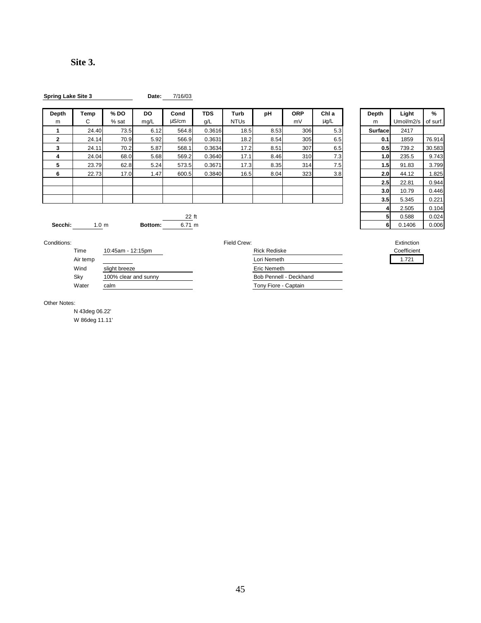45

**Site 3.** 

| <b>Spring Lake Site 3</b> |  |  |
|---------------------------|--|--|
|                           |  |  |

**Date:** 7/16/03

| Depth        | Temp  | $%$ DO | DO.  | Cond       | <b>TDS</b> | Turb        | pH   | <b>ORP</b>       | Chl a | Depth            | Light     | %        |
|--------------|-------|--------|------|------------|------------|-------------|------|------------------|-------|------------------|-----------|----------|
| m            | С     | % sat  | mg/L | $\mu$ S/cm | g/L        | <b>NTUs</b> |      | mV               | μg/L  | m                | Umol/m2/s | of surf. |
|              | 24.40 | 73.5   | 6.12 | 564.8      | 0.3616     | 18.5        | 8.53 | 306 <sub>1</sub> | 5.3   | Surface          | 2417      |          |
| $\mathbf{2}$ | 24.14 | 70.9   | 5.92 | 566.9      | 0.3631     | 18.2        | 8.54 | 305              | 6.5   | 0.1              | 1859      | 76.914   |
| 3            | 24.11 | 70.2   | 5.87 | 568.1      | 0.3634     | 17.2        | 8.51 | 307              | 6.5   | 0.5              | 739.2     | 30.583   |
| 4            | 24.04 | 68.0   | 5.68 | 569.2      | 0.3640     | 17.1        | 8.46 | 310              | 7.3   | 1.0              | 235.5     | 9.743    |
| 5            | 23.79 | 62.8   | 5.24 | 573.5      | 0.3671     | 17.3        | 8.35 | 314              | 7.5   | 1.5              | 91.83     | 3.799    |
| 6            | 22.73 | 17.0   | 1.47 | 600.5      | 0.3840     | 16.5        | 8.04 | 323              | 3.8   | 2.0 <sub>1</sub> | 44.12     | .825     |
|              |       |        |      |            |            |             |      |                  |       | 2.5              | 22.81     | 0.944    |
|              |       |        |      |            |            |             |      |                  |       | 3.0              | 10.79     | 0.446    |
|              |       |        |      |            |            |             |      |                  |       | 3.5              | 5.345     | 0.221    |
|              |       |        |      |            |            |             |      |                  |       |                  | QE        | 0.404    |

|                 | <b>TDS</b><br>g/L | Turb<br><b>NTUs</b> | pH   | <b>ORP</b><br>mV | Chl a<br>$\mu$ g/L | Depth<br>m     | Light<br>Umol/m2/s | %<br>of surf. |
|-----------------|-------------------|---------------------|------|------------------|--------------------|----------------|--------------------|---------------|
| .8              | 0.3616            | 18.5                | 8.53 | 306              | 5.3                | Surfacel       | 2417               |               |
| 3.9             | 0.3631            | 18.2                | 8.54 | 305              | 6.5                | 0.1            | 1859               | 76.914        |
| 3.1             | 0.3634            | 17.2                | 8.51 | 307              | 6.5                | 0.5            | 739.2              | 30.583        |
| .2              | 0.3640            | 17.1                | 8.46 | 310              | 7.3                | 1.0            | 235.5              | 9.743         |
| $.5\,$          | 0.3671            | 17.3                | 8.35 | 314              | 7.5                | 1.5            | 91.83              | 3.799         |
| .5 <sub>1</sub> | 0.3840            | 16.5                | 8.04 | 323              | 3.8                | 2.0            | 44.12              | 1.825         |
|                 |                   |                     |      |                  |                    | 2.5            | 22.81              | 0.944         |
|                 |                   |                     |      |                  |                    | 3.0            | 10.79              | 0.446         |
|                 |                   |                     |      |                  |                    | 3.5            | 5.345              | 0.221         |
|                 |                   |                     |      |                  |                    | 4              | 2.505              | 0.104         |
| 22 ft           |                   |                     |      |                  |                    | 5 <sub>1</sub> | 0.588              | 0.024         |
| 71 m            |                   |                     |      |                  |                    | 6              | 0.1406             | 0.006         |

**Secchi:** 1.0 m **Bottom:** 22 ft<br>**Bottom:** 6.71 m

| ,,,,,,   | TU.40dHI - TZ.T0pHI  | <b>NICK NEUISKE</b>    | <b>COBILICI</b> |
|----------|----------------------|------------------------|-----------------|
| Air temp |                      | Lori Nemeth            | 1.721           |
| Wind     | slight breeze        | Eric Nemeth            |                 |
| Sky      | 100% clear and sunny | Bob Pennell - Deckhand |                 |
| Water    | calm                 | Tony Fiore - Captain   |                 |

| Conditions: |          |                      | Field Crew:            | Extinction  |
|-------------|----------|----------------------|------------------------|-------------|
|             | Time     | 10:45am - 12:15pm    | <b>Rick Rediske</b>    | Coefficient |
|             | Air temp |                      | Lori Nemeth            | 1.721       |
|             | Wind     | slight breeze        | Eric Nemeth            |             |
|             | Sky      | 100% clear and sunny | Bob Pennell - Deckhand |             |
|             | Water    | calm                 | Tony Fiore - Captain   |             |
|             |          |                      |                        |             |



Other Notes:

N 43deg 06.22'

W 86deg 11.11'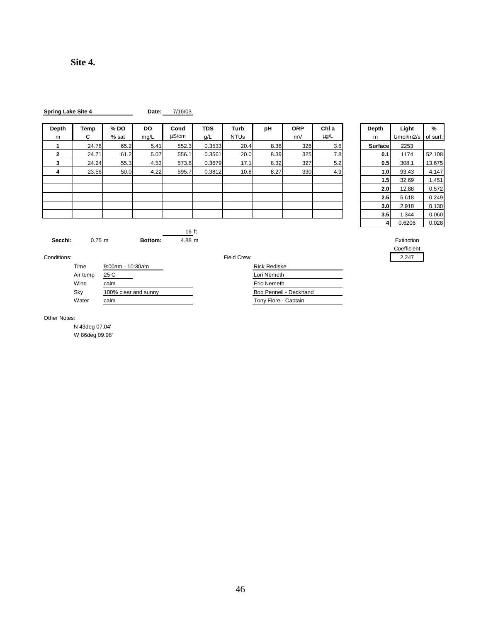| <b>Spring Lake Site 4</b> |  |  |
|---------------------------|--|--|
|                           |  |  |

**Date:** 7/16/03

| <b>Depth</b> | Temp  | $%$ DO | DO.  | Cond       | <b>TDS</b> | Turb        | рH   | <b>ORP</b> | Chl a     | Depth   | Light     | %        |
|--------------|-------|--------|------|------------|------------|-------------|------|------------|-----------|---------|-----------|----------|
| m            | С     | % sat  | mg/L | $\mu$ S/cm | g/L        | <b>NTUs</b> |      | mV         | $\mu$ g/L | m       | Umol/m2/s | of surf. |
|              | 24.76 | 65.2   | 5.41 | 552.3      | 0.3533     | 20.4        | 8.36 | 326        | 3.6       | Surface | 2253      |          |
| $\mathbf{2}$ | 24.71 | 61.2   | 5.07 | 556.1      | 0.3561     | 20.0        | 8.39 | 325        | 7.8       | 0.1     | 1174      | 52.108   |
| 3            | 24.24 | 55.3   | 4.53 | 573.6      | 0.3679     | 17.1        | 8.32 | 327        | 5.2       | 0.5     | 308.1     | 13.675   |
| 4            | 23.56 | 50.0   | 4.22 | 595.7      | 0.3812     | 10.8        | 8.27 | 330        | 4.9       | 1.0     | 93.43     | 4.147    |
|              |       |        |      |            |            |             |      |            |           | 1.5     | 32.69     | 1.451    |
|              |       |        |      |            |            |             |      |            |           | 2.0     | 12.88     | 0.572    |
|              |       |        |      |            |            |             |      |            |           | 2.5     | 5.618     | 0.249    |
|              |       |        |      |            |            |             |      |            |           | 3.0     | 2.918     | 0.130    |
|              |       |        |      |            |            |             |      |            |           | 3.5     | 1.344     | 0.060    |
|              |       |        |      |            |            |             |      |            |           |         | 0.0000    | 0.000    |

16 ft

| Depth   | Light     | %        |  |
|---------|-----------|----------|--|
| m       | Umol/m2/s | of surf. |  |
| Surface | 2253      |          |  |
| 0.1     | 1174      | 52.108   |  |
| 0.5     | 308.1     | 13.675   |  |
| 1.0     | 93.43     | 4.147    |  |
| 1.5     | 32.69     | 1.451    |  |
| 2.0     | 12.88     | 0.572    |  |
| 2.5     | 5.618     | 0.249    |  |
| 3.0     | 2.918     | 0.130    |  |
| 3.5     | 1.344     | 0.060    |  |
| 4       | 0.6206    | 0.028    |  |

Coefficient



Conditions: Field Crew: 2.247

| Time     | $9:00$ am - 10:30am  | <b>Rick Rediske</b>    |
|----------|----------------------|------------------------|
| Air temp | 25 C                 | Lori Nemeth            |
| Wind     | calm                 | Eric Nemeth            |
| Skv      | 100% clear and sunny | Bob Pennell - Deckhand |
| Water    | calm                 | Tony Fiore - Captain   |
|          |                      |                        |

Other Notes:

N 43deg 07.04' W 86deg 09.98'